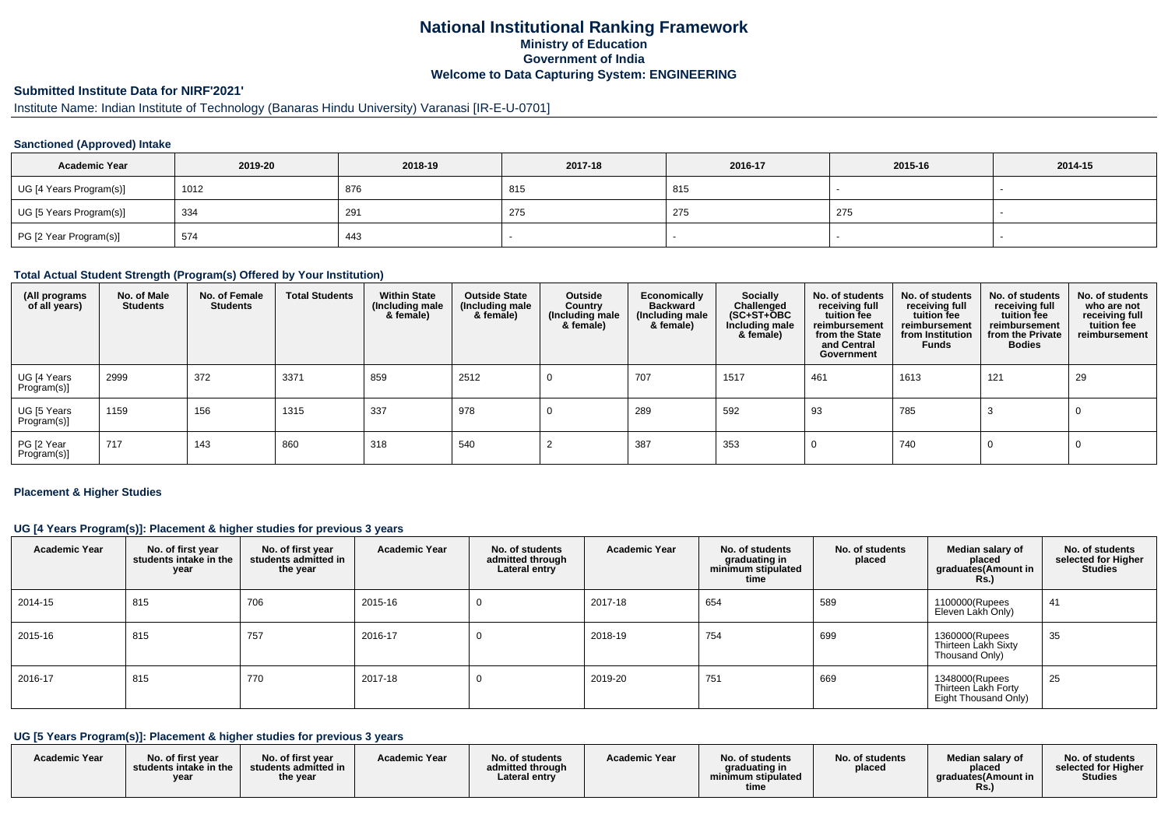# **National Institutional Ranking FrameworkMinistry of Education Government of IndiaWelcome to Data Capturing System: ENGINEERING**

# **Submitted Institute Data for NIRF'2021'**

# Institute Name: Indian Institute of Technology (Banaras Hindu University) Varanasi [IR-E-U-0701]

#### **Sanctioned (Approved) Intake**

| <b>Academic Year</b>    | 2019-20 | 2018-19 | 2017-18 | 2016-17 | 2015-16 | 2014-15 |
|-------------------------|---------|---------|---------|---------|---------|---------|
| UG [4 Years Program(s)] | 1012    | 876     | 815     | 815     |         |         |
| UG [5 Years Program(s)] | 334     | 291     | 275     | 275     | 275     |         |
| PG [2 Year Program(s)]  | 574     | 443     |         |         |         |         |

#### **Total Actual Student Strength (Program(s) Offered by Your Institution)**

| (All programs<br>of all years) | No. of Male<br><b>Students</b> | No. of Female<br><b>Students</b> | <b>Total Students</b> | <b>Within State</b><br>(Including male<br>& female) | <b>Outside State</b><br>(Including male<br>& female) | Outside<br>Country<br>(Including male<br>& female) | Economically<br><b>Backward</b><br>(Including male<br>& female) | Socially<br>Challenged<br>$(SC+ST+\text{O}BC)$<br>Including male<br>& female) | No. of students<br>receiving full<br>tuition fee<br>reimbursement<br>from the State<br>and Central<br>Government | No. of students<br>receiving full<br>tuition fee<br>reimbursement<br>from Institution<br><b>Funds</b> | No. of students<br>receiving full<br>tuition fee<br>reimbursement<br>from the Private<br><b>Bodies</b> | No. of students<br>who are not<br>receiving full<br>tuition fee<br>reimbursement |
|--------------------------------|--------------------------------|----------------------------------|-----------------------|-----------------------------------------------------|------------------------------------------------------|----------------------------------------------------|-----------------------------------------------------------------|-------------------------------------------------------------------------------|------------------------------------------------------------------------------------------------------------------|-------------------------------------------------------------------------------------------------------|--------------------------------------------------------------------------------------------------------|----------------------------------------------------------------------------------|
| UG [4 Years<br>Program(s)]     | 2999                           | 372                              | 3371                  | 859                                                 | 2512                                                 |                                                    | 707                                                             | 1517                                                                          | 461                                                                                                              | 1613                                                                                                  | 121                                                                                                    | 29                                                                               |
| UG [5 Years<br>Program(s)]     | 1159                           | 156                              | 1315                  | 337                                                 | 978                                                  |                                                    | 289                                                             | 592                                                                           | 93                                                                                                               | 785                                                                                                   | -3                                                                                                     |                                                                                  |
| PG [2 Year<br>Program(s)]      | 717                            | 143                              | 860                   | 318                                                 | 540                                                  |                                                    | 387                                                             | 353                                                                           |                                                                                                                  | 740                                                                                                   |                                                                                                        |                                                                                  |

#### **Placement & Higher Studies**

### **UG [4 Years Program(s)]: Placement & higher studies for previous 3 years**

| <b>Academic Year</b> | No. of first year<br>students intake in the<br>year | No. of first year<br>students admitted in<br>the year | <b>Academic Year</b> | No. of students<br>admitted through<br>Lateral entry | <b>Academic Year</b> | No. of students<br>graduating in<br>minimum stipulated<br>time | No. of students<br>placed | Median salary of<br>placed<br>graduates(Amount in<br>R <sub>S</sub> | No. of students<br>selected for Higher<br><b>Studies</b> |
|----------------------|-----------------------------------------------------|-------------------------------------------------------|----------------------|------------------------------------------------------|----------------------|----------------------------------------------------------------|---------------------------|---------------------------------------------------------------------|----------------------------------------------------------|
| 2014-15              | 815                                                 | 706                                                   | 2015-16              |                                                      | 2017-18              | 654                                                            | 589                       | 1100000(Rupees<br>Eleven Lakh Only)                                 | 41                                                       |
| 2015-16              | 815                                                 | 757                                                   | 2016-17              |                                                      | 2018-19              | 754                                                            | 699                       | 1360000(Rupees<br>Thirteen Lakh Sixty<br>Thousand Only)             | 35                                                       |
| 2016-17              | 815                                                 | 770                                                   | 2017-18              |                                                      | 2019-20              | 751                                                            | 669                       | 1348000(Rupees<br>Thirteen Lakh Forty<br>Eight Thousand Only)       | 25                                                       |

### **UG [5 Years Program(s)]: Placement & higher studies for previous 3 years**

| <b>Academic Year</b> | No. of first year<br>students intake in the<br>vear | No. of first year<br>students admitted in<br>the year | <b>Academic Year</b> | No. of students<br>admitted through<br>Lateral entrv | <b>Academic Year</b> | No. of students<br>araduating in<br>minimum stipulated<br>time | No. of students<br>placed | Median salary of<br>placed<br>araduates(Amount in<br>Rs. | No. of students<br>selected for Higher<br><b>Studies</b> |
|----------------------|-----------------------------------------------------|-------------------------------------------------------|----------------------|------------------------------------------------------|----------------------|----------------------------------------------------------------|---------------------------|----------------------------------------------------------|----------------------------------------------------------|
|----------------------|-----------------------------------------------------|-------------------------------------------------------|----------------------|------------------------------------------------------|----------------------|----------------------------------------------------------------|---------------------------|----------------------------------------------------------|----------------------------------------------------------|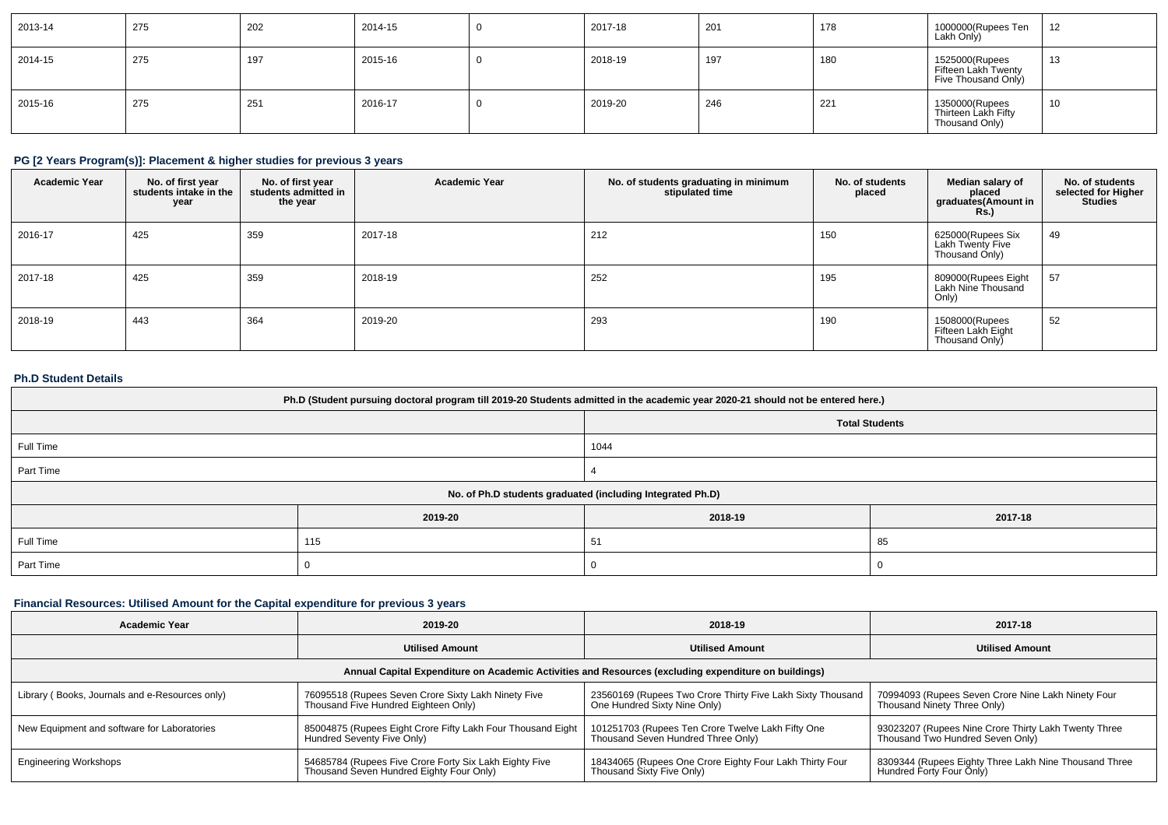| 2013-14 | 275 | 202 | 2014-15 | 2017-18 | 201 | 178 | 1000000(Rupees Ten<br>Lakh Only)                             | 10                   |
|---------|-----|-----|---------|---------|-----|-----|--------------------------------------------------------------|----------------------|
| 2014-15 | 275 | 197 | 2015-16 | 2018-19 | 197 | 180 | 1525000(Rupees<br>Fifteen Lakh Twenty<br>Five Thousand Only) | $\overline{1}$<br>13 |
| 2015-16 | 275 | 251 | 2016-17 | 2019-20 | 246 | 221 | 1350000(Rupees<br>Thirteen Lakh Fifty<br>Thousand Only)      | 10                   |

# **PG [2 Years Program(s)]: Placement & higher studies for previous 3 years**

| <b>Academic Year</b> | No. of first year<br>students intake in the<br>year | No. of first year<br>students admitted in<br>the year | <b>Academic Year</b> | No. of students graduating in minimum<br>stipulated time | No. of students<br>placed | Median salary of<br>placed<br>graduates(Amount in<br><b>Rs.</b> ) | No. of students<br>selected for Higher<br><b>Studies</b> |
|----------------------|-----------------------------------------------------|-------------------------------------------------------|----------------------|----------------------------------------------------------|---------------------------|-------------------------------------------------------------------|----------------------------------------------------------|
| 2016-17              | 425                                                 | 359                                                   | 2017-18              | 212                                                      | 150                       | 625000(Rupees Six<br>Lakh Twenty Five<br>Thousand Only)           | 49                                                       |
| 2017-18              | 425                                                 | 359                                                   | 2018-19              | 252                                                      | 195                       | 809000(Rupees Eight<br>Lakh Nine Thousand<br>Only)                | 57                                                       |
| 2018-19              | 443                                                 | 364                                                   | 2019-20              | 293                                                      | 190                       | 1508000(Rupees<br>Fifteen Lakh Eight<br>Thousand Only             | 52                                                       |

### **Ph.D Student Details**

| Ph.D (Student pursuing doctoral program till 2019-20 Students admitted in the academic year 2020-21 should not be entered here.) |         |                                                            |         |  |  |  |
|----------------------------------------------------------------------------------------------------------------------------------|---------|------------------------------------------------------------|---------|--|--|--|
| <b>Total Students</b>                                                                                                            |         |                                                            |         |  |  |  |
| Full Time                                                                                                                        |         | 1044                                                       |         |  |  |  |
| Part Time                                                                                                                        |         |                                                            |         |  |  |  |
|                                                                                                                                  |         | No. of Ph.D students graduated (including Integrated Ph.D) |         |  |  |  |
|                                                                                                                                  | 2019-20 | 2018-19                                                    | 2017-18 |  |  |  |
| Full Time                                                                                                                        | 115     | 51                                                         | 85      |  |  |  |
| Part Time                                                                                                                        |         |                                                            |         |  |  |  |

# **Financial Resources: Utilised Amount for the Capital expenditure for previous 3 years**

| <b>Academic Year</b>                                                                                 | 2019-20                                                                                            | 2018-19                                                                                    | 2017-18                                                                                  |  |  |  |  |  |
|------------------------------------------------------------------------------------------------------|----------------------------------------------------------------------------------------------------|--------------------------------------------------------------------------------------------|------------------------------------------------------------------------------------------|--|--|--|--|--|
|                                                                                                      | <b>Utilised Amount</b>                                                                             | <b>Utilised Amount</b>                                                                     | <b>Utilised Amount</b>                                                                   |  |  |  |  |  |
| Annual Capital Expenditure on Academic Activities and Resources (excluding expenditure on buildings) |                                                                                                    |                                                                                            |                                                                                          |  |  |  |  |  |
| Library (Books, Journals and e-Resources only)                                                       | 76095518 (Rupees Seven Crore Sixty Lakh Ninety Five<br>Thousand Five Hundred Eighteen Only)        | 23560169 (Rupees Two Crore Thirty Five Lakh Sixty Thousand<br>One Hundred Sixty Nine Only) | 70994093 (Rupees Seven Crore Nine Lakh Ninety Four<br>Thousand Ninety Three Only)        |  |  |  |  |  |
| New Equipment and software for Laboratories                                                          | 85004875 (Rupees Eight Crore Fifty Lakh Four Thousand Eight<br>Hundred Seventy Five Only)          | 101251703 (Rupees Ten Crore Twelve Lakh Fifty One<br>Thousand Seven Hundred Three Only)    | 93023207 (Rupees Nine Crore Thirty Lakh Twenty Three<br>Thousand Two Hundred Seven Only) |  |  |  |  |  |
| <b>Engineering Workshops</b>                                                                         | 54685784 (Rupees Five Crore Forty Six Lakh Eighty Five<br>Thousand Seven Hundred Eighty Four Only) | 18434065 (Rupees One Crore Eighty Four Lakh Thirty Four<br>Thousand Sixty Five Only)       | 8309344 (Rupees Eighty Three Lakh Nine Thousand Three<br>Hundred Forty Four Only)        |  |  |  |  |  |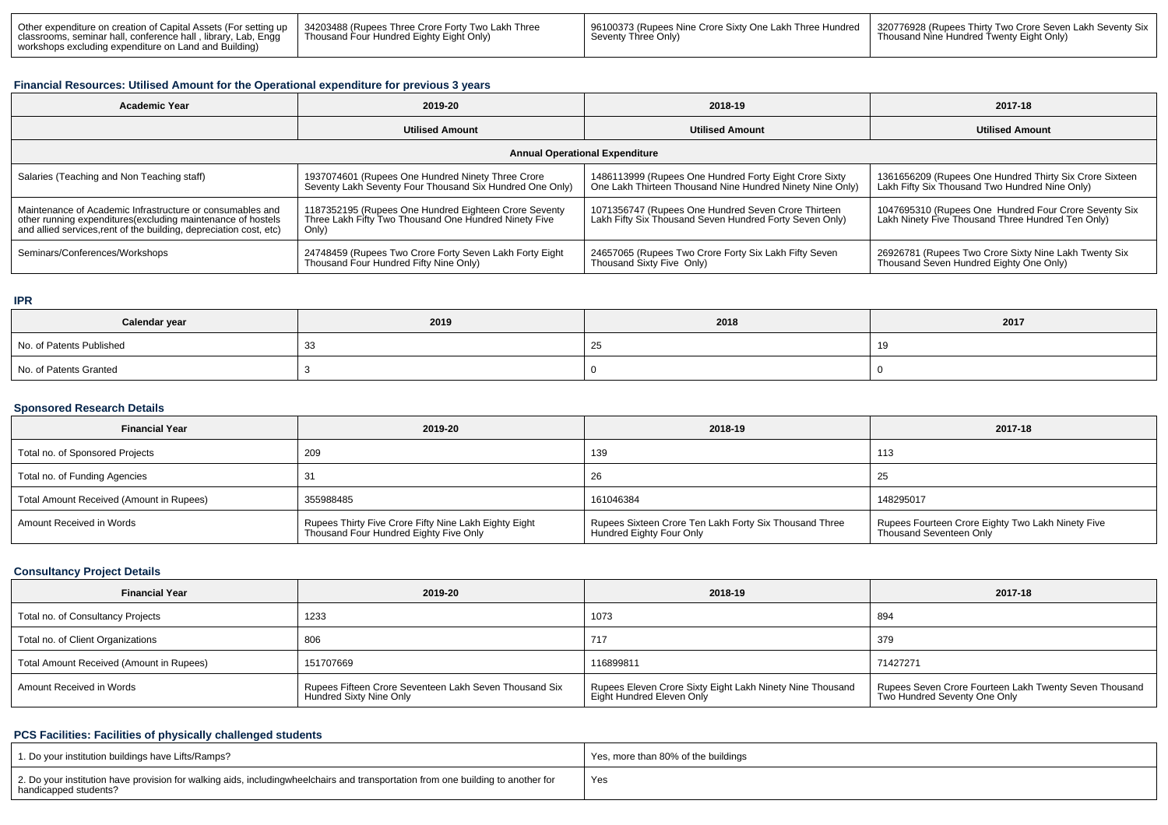| Other expenditure on creation of Capital Assets (For setting up   34203488 (Rupees Three Crore Forty Two Lakh Three \,<br>  classrooms, seminar hall, conference hall, library, Lab, Engg<br>workshops excluding expenditure on Land and Building) | Thousand Four Hundred Eighty Eight Only) | 1 96100373 (Rupees Nine Crore Sixty One Lakh Three Hundred<br>Seventy Three Only) | 1 320776928 (Rupees Thirty Two Crore Seven Lakh Seventy Six<br>Thousand Nine Hundred Twenty Eight Only) |
|----------------------------------------------------------------------------------------------------------------------------------------------------------------------------------------------------------------------------------------------------|------------------------------------------|-----------------------------------------------------------------------------------|---------------------------------------------------------------------------------------------------------|
|----------------------------------------------------------------------------------------------------------------------------------------------------------------------------------------------------------------------------------------------------|------------------------------------------|-----------------------------------------------------------------------------------|---------------------------------------------------------------------------------------------------------|

# **Financial Resources: Utilised Amount for the Operational expenditure for previous 3 years**

| <b>Academic Year</b>                                                                                                                                                                            | 2019-20                                                                                                                 |                                                                                                                     | 2017-18                                                                                                    |  |  |  |  |  |
|-------------------------------------------------------------------------------------------------------------------------------------------------------------------------------------------------|-------------------------------------------------------------------------------------------------------------------------|---------------------------------------------------------------------------------------------------------------------|------------------------------------------------------------------------------------------------------------|--|--|--|--|--|
|                                                                                                                                                                                                 | <b>Utilised Amount</b>                                                                                                  |                                                                                                                     | <b>Utilised Amount</b>                                                                                     |  |  |  |  |  |
| <b>Annual Operational Expenditure</b>                                                                                                                                                           |                                                                                                                         |                                                                                                                     |                                                                                                            |  |  |  |  |  |
| Salaries (Teaching and Non Teaching staff)                                                                                                                                                      | 1937074601 (Rupees One Hundred Ninety Three Crore<br>Seventy Lakh Seventy Four Thousand Six Hundred One Only)           | 1486113999 (Rupees One Hundred Forty Eight Crore Sixty<br>One Lakh Thirteen Thousand Nine Hundred Ninety Nine Only) | 1361656209 (Rupees One Hundred Thirty Six Crore Sixteen<br>Lakh Fifty Six Thousand Two Hundred Nine Only)  |  |  |  |  |  |
| Maintenance of Academic Infrastructure or consumables and<br>other running expenditures (excluding maintenance of hostels<br>and allied services, rent of the building, depreciation cost, etc) | 1187352195 (Rupees One Hundred Eighteen Crore Seventy<br>Three Lakh Fifty Two Thousand One Hundred Ninety Five<br>Only) | 1071356747 (Rupees One Hundred Seven Crore Thirteen<br>Lakh Fifty Six Thousand Seven Hundred Forty Seven Only)      | 1047695310 (Rupees One Hundred Four Crore Seventy Six<br>Lakh Ninety Five Thousand Three Hundred Ten Only) |  |  |  |  |  |
| Seminars/Conferences/Workshops                                                                                                                                                                  | 24748459 (Rupees Two Crore Forty Seven Lakh Forty Eight<br>Thousand Four Hundred Fifty Nine Only)                       | 24657065 (Rupees Two Crore Forty Six Lakh Fifty Seven<br>Thousand Sixty Five Only)                                  | 26926781 (Rupees Two Crore Sixty Nine Lakh Twenty Six<br>Thousand Seven Hundred Eighty One Only)           |  |  |  |  |  |

#### **IPR**

| Calendar year            | 2019 | 2018 | 2017 |
|--------------------------|------|------|------|
| No. of Patents Published |      |      |      |
| No. of Patents Granted   |      |      |      |

#### **Sponsored Research Details**

| <b>Financial Year</b>                    | 2019-20                                                                                         | 2018-19                                                                            | 2017-18                                                                      |
|------------------------------------------|-------------------------------------------------------------------------------------------------|------------------------------------------------------------------------------------|------------------------------------------------------------------------------|
| Total no. of Sponsored Projects          | 209                                                                                             | 139                                                                                | 113                                                                          |
| Total no. of Funding Agencies            | -31                                                                                             | 26                                                                                 | 25                                                                           |
| Total Amount Received (Amount in Rupees) | 355988485                                                                                       | 161046384                                                                          | 148295017                                                                    |
| Amount Received in Words                 | Rupees Thirty Five Crore Fifty Nine Lakh Eighty Eight<br>Thousand Four Hundred Eighty Five Only | Rupees Sixteen Crore Ten Lakh Forty Six Thousand Three<br>Hundred Eighty Four Only | Rupees Fourteen Crore Eighty Two Lakh Ninety Five<br>Thousand Seventeen Only |

# **Consultancy Project Details**

| <b>Financial Year</b>                    | 2019-20                                                                                  | 2018-19                                                                                | 2017-18                                                                                |
|------------------------------------------|------------------------------------------------------------------------------------------|----------------------------------------------------------------------------------------|----------------------------------------------------------------------------------------|
| Total no. of Consultancy Projects        | 1233                                                                                     | 1073                                                                                   | 894                                                                                    |
| Total no. of Client Organizations        | 806                                                                                      | 717                                                                                    | 379                                                                                    |
| Total Amount Received (Amount in Rupees) | 151707669                                                                                | 116899811                                                                              | 71427271                                                                               |
| Amount Received in Words                 | Rupees Fifteen Crore Seventeen Lakh Seven Thousand Six<br><b>Hundred Sixty Nine Only</b> | Rupees Eleven Crore Sixty Eight Lakh Ninety Nine Thousand<br>Eight Hundred Eleven Only | Rupees Seven Crore Fourteen Lakh Twenty Seven Thousand<br>Two Hundred Seventy One Only |

# **PCS Facilities: Facilities of physically challenged students**

| 1. Do your institution buildings have Lifts/Ramps?                                                                                                        | Yes, more than 80% of the buildings |
|-----------------------------------------------------------------------------------------------------------------------------------------------------------|-------------------------------------|
| 2. Do your institution have provision for walking aids, includingwheelchairs and transportation from one building to another for<br>handicapped students? | 'Yes                                |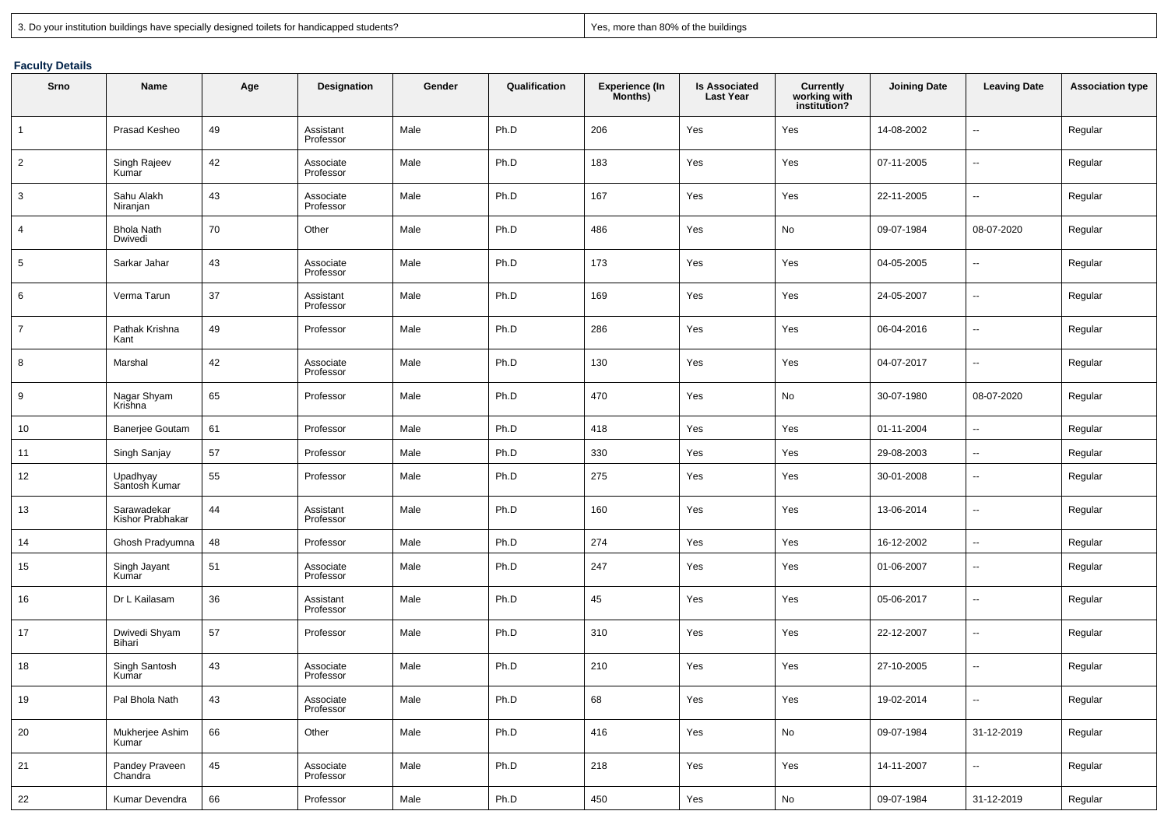|  |  | 3. Do your institution buildings have specially designed toilets for handicapped students? |  |
|--|--|--------------------------------------------------------------------------------------------|--|
|  |  |                                                                                            |  |

Yes, more than 80% of the buildings

# **Faculty Details**

| Srno           | Name                            | Age | Designation            | Gender | Qualification | <b>Experience (In</b><br>Months) | <b>Is Associated</b><br><b>Last Year</b> | Currently<br>working with<br>institution? | <b>Joining Date</b> | <b>Leaving Date</b>      | <b>Association type</b> |
|----------------|---------------------------------|-----|------------------------|--------|---------------|----------------------------------|------------------------------------------|-------------------------------------------|---------------------|--------------------------|-------------------------|
| $\mathbf{1}$   | Prasad Kesheo                   | 49  | Assistant<br>Professor | Male   | Ph.D          | 206                              | Yes                                      | Yes                                       | 14-08-2002          | $\overline{\phantom{a}}$ | Regular                 |
| $\overline{2}$ | Singh Rajeev<br>Kumar           | 42  | Associate<br>Professor | Male   | Ph.D          | 183                              | Yes                                      | Yes                                       | 07-11-2005          | $\overline{\phantom{a}}$ | Regular                 |
| 3              | Sahu Alakh<br>Niranjan          | 43  | Associate<br>Professor | Male   | Ph.D          | 167                              | Yes                                      | Yes                                       | 22-11-2005          | $\overline{\phantom{a}}$ | Regular                 |
| $\overline{4}$ | <b>Bhola Nath</b><br>Dwivedi    | 70  | Other                  | Male   | Ph.D          | 486                              | Yes                                      | No                                        | 09-07-1984          | 08-07-2020               | Regular                 |
| 5              | Sarkar Jahar                    | 43  | Associate<br>Professor | Male   | Ph.D          | 173                              | Yes                                      | Yes                                       | 04-05-2005          | --                       | Regular                 |
| 6              | Verma Tarun                     | 37  | Assistant<br>Professor | Male   | Ph.D          | 169                              | Yes                                      | Yes                                       | 24-05-2007          | $\overline{\phantom{a}}$ | Regular                 |
| $\overline{7}$ | Pathak Krishna<br>Kant          | 49  | Professor              | Male   | Ph.D          | 286                              | Yes                                      | Yes                                       | 06-04-2016          | $\overline{\phantom{a}}$ | Regular                 |
| 8              | Marshal                         | 42  | Associate<br>Professor | Male   | Ph.D          | 130                              | Yes                                      | Yes                                       | 04-07-2017          | $\overline{\phantom{a}}$ | Regular                 |
| 9              | Nagar Shyam<br>Krishna          | 65  | Professor              | Male   | Ph.D          | 470                              | Yes                                      | No                                        | 30-07-1980          | 08-07-2020               | Regular                 |
| 10             | <b>Banerjee Goutam</b>          | 61  | Professor              | Male   | Ph.D          | 418                              | Yes                                      | Yes                                       | 01-11-2004          | ۰.                       | Regular                 |
| 11             | Singh Sanjay                    | 57  | Professor              | Male   | Ph.D          | 330                              | Yes                                      | Yes                                       | 29-08-2003          | $\overline{\phantom{a}}$ | Regular                 |
| 12             | Upadhyay<br>Santosh Kumar       | 55  | Professor              | Male   | Ph.D          | 275                              | Yes                                      | Yes                                       | 30-01-2008          | $\overline{\phantom{a}}$ | Regular                 |
| 13             | Sarawadekar<br>Kishor Prabhakar | 44  | Assistant<br>Professor | Male   | Ph.D          | 160                              | Yes                                      | Yes                                       | 13-06-2014          | ⊷                        | Regular                 |
| 14             | Ghosh Pradyumna                 | 48  | Professor              | Male   | Ph.D          | 274                              | Yes                                      | Yes                                       | 16-12-2002          | н.                       | Regular                 |
| 15             | Singh Jayant<br>Kumar           | 51  | Associate<br>Professor | Male   | Ph.D          | 247                              | Yes                                      | Yes                                       | 01-06-2007          | --                       | Regular                 |
| 16             | Dr L Kailasam                   | 36  | Assistant<br>Professor | Male   | Ph.D          | 45                               | Yes                                      | Yes                                       | 05-06-2017          | --                       | Regular                 |
| 17             | Dwivedi Shyam<br>Bihari         | 57  | Professor              | Male   | Ph.D          | 310                              | Yes                                      | Yes                                       | 22-12-2007          | $\overline{\phantom{a}}$ | Regular                 |
| 18             | Singh Santosh<br>Kumar          | 43  | Associate<br>Professor | Male   | Ph.D          | 210                              | Yes                                      | Yes                                       | 27-10-2005          | $\overline{\phantom{a}}$ | Regular                 |
| 19             | Pal Bhola Nath                  | 43  | Associate<br>Professor | Male   | Ph.D          | 68                               | Yes                                      | Yes                                       | 19-02-2014          | $\overline{\phantom{a}}$ | Regular                 |
| 20             | Mukherjee Ashim<br>Kumar        | 66  | Other                  | Male   | Ph.D          | 416                              | Yes                                      | No                                        | 09-07-1984          | 31-12-2019               | Regular                 |
| 21             | Pandey Praveen<br>Chandra       | 45  | Associate<br>Professor | Male   | Ph.D          | 218                              | Yes                                      | Yes                                       | 14-11-2007          | $\sim$                   | Regular                 |
| 22             | Kumar Devendra                  | 66  | Professor              | Male   | Ph.D          | 450                              | Yes                                      | No                                        | 09-07-1984          | 31-12-2019               | Regular                 |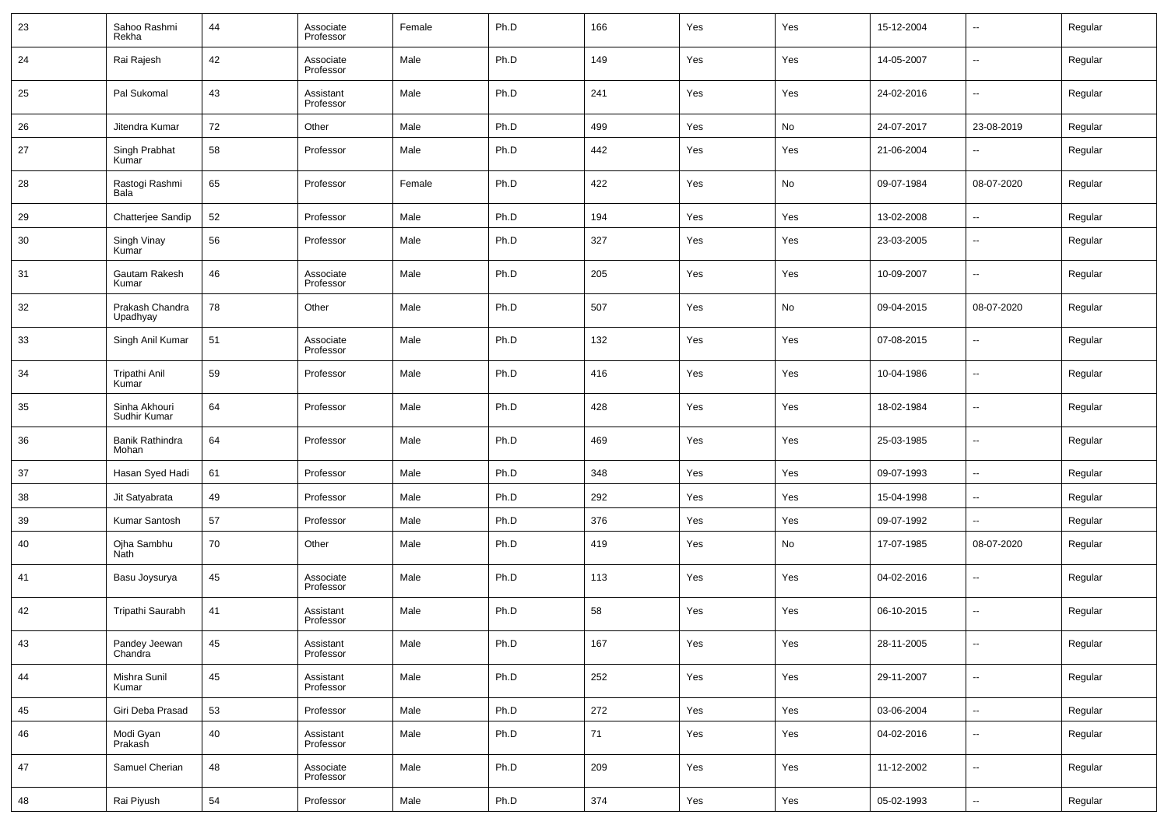| 23 | Sahoo Rashmi<br>Rekha         | 44 | Associate<br>Professor | Female | Ph.D | 166 | Yes | Yes | 15-12-2004 | --                       | Regular |
|----|-------------------------------|----|------------------------|--------|------|-----|-----|-----|------------|--------------------------|---------|
| 24 | Rai Rajesh                    | 42 | Associate<br>Professor | Male   | Ph.D | 149 | Yes | Yes | 14-05-2007 | --                       | Regular |
| 25 | Pal Sukomal                   | 43 | Assistant<br>Professor | Male   | Ph.D | 241 | Yes | Yes | 24-02-2016 | $\overline{\phantom{a}}$ | Regular |
| 26 | Jitendra Kumar                | 72 | Other                  | Male   | Ph.D | 499 | Yes | No  | 24-07-2017 | 23-08-2019               | Regular |
| 27 | Singh Prabhat<br>Kumar        | 58 | Professor              | Male   | Ph.D | 442 | Yes | Yes | 21-06-2004 | --                       | Regular |
| 28 | Rastogi Rashmi<br>Bala        | 65 | Professor              | Female | Ph.D | 422 | Yes | No  | 09-07-1984 | 08-07-2020               | Regular |
| 29 | Chatterjee Sandip             | 52 | Professor              | Male   | Ph.D | 194 | Yes | Yes | 13-02-2008 | $\overline{\phantom{a}}$ | Regular |
| 30 | Singh Vinay<br>Kumar          | 56 | Professor              | Male   | Ph.D | 327 | Yes | Yes | 23-03-2005 | $\overline{\phantom{a}}$ | Regular |
| 31 | Gautam Rakesh<br>Kumar        | 46 | Associate<br>Professor | Male   | Ph.D | 205 | Yes | Yes | 10-09-2007 | $\overline{\phantom{a}}$ | Regular |
| 32 | Prakash Chandra<br>Upadhyay   | 78 | Other                  | Male   | Ph.D | 507 | Yes | No  | 09-04-2015 | 08-07-2020               | Regular |
| 33 | Singh Anil Kumar              | 51 | Associate<br>Professor | Male   | Ph.D | 132 | Yes | Yes | 07-08-2015 | $\overline{\phantom{a}}$ | Regular |
| 34 | Tripathi Anil<br>Kumar        | 59 | Professor              | Male   | Ph.D | 416 | Yes | Yes | 10-04-1986 | $\overline{\phantom{a}}$ | Regular |
| 35 | Sinha Akhouri<br>Sudhir Kumar | 64 | Professor              | Male   | Ph.D | 428 | Yes | Yes | 18-02-1984 | $\overline{\phantom{a}}$ | Regular |
| 36 | Banik Rathindra<br>Mohan      | 64 | Professor              | Male   | Ph.D | 469 | Yes | Yes | 25-03-1985 | $\overline{\phantom{a}}$ | Regular |
| 37 | Hasan Syed Hadi               | 61 | Professor              | Male   | Ph.D | 348 | Yes | Yes | 09-07-1993 | $\overline{\phantom{a}}$ | Regular |
| 38 | Jit Satyabrata                | 49 | Professor              | Male   | Ph.D | 292 | Yes | Yes | 15-04-1998 | $\overline{\phantom{a}}$ | Regular |
| 39 | Kumar Santosh                 | 57 | Professor              | Male   | Ph.D | 376 | Yes | Yes | 09-07-1992 | --                       | Regular |
| 40 | Ojha Sambhu<br>Nath           | 70 | Other                  | Male   | Ph.D | 419 | Yes | No  | 17-07-1985 | 08-07-2020               | Regular |
| 41 | Basu Joysurya                 | 45 | Associate<br>Professor | Male   | Ph.D | 113 | Yes | Yes | 04-02-2016 | $\overline{\phantom{a}}$ | Regular |
| 42 | Tripathi Saurabh              | 41 | Assistant<br>Professor | Male   | Ph.D | 58  | Yes | Yes | 06-10-2015 | $\overline{\phantom{a}}$ | Regular |
| 43 | Pandey Jeewan<br>Chandra      | 45 | Assistant<br>Professor | Male   | Ph.D | 167 | Yes | Yes | 28-11-2005 | $\overline{\phantom{a}}$ | Regular |
| 44 | Mishra Sunil<br>Kumar         | 45 | Assistant<br>Professor | Male   | Ph.D | 252 | Yes | Yes | 29-11-2007 | $\overline{\phantom{a}}$ | Regular |
| 45 | Giri Deba Prasad              | 53 | Professor              | Male   | Ph.D | 272 | Yes | Yes | 03-06-2004 | $\overline{\phantom{a}}$ | Regular |
| 46 | Modi Gyan<br>Prakash          | 40 | Assistant<br>Professor | Male   | Ph.D | 71  | Yes | Yes | 04-02-2016 | $\overline{\phantom{a}}$ | Regular |
| 47 | Samuel Cherian                | 48 | Associate<br>Professor | Male   | Ph.D | 209 | Yes | Yes | 11-12-2002 | $\overline{\phantom{a}}$ | Regular |
| 48 | Rai Piyush                    | 54 | Professor              | Male   | Ph.D | 374 | Yes | Yes | 05-02-1993 | $\overline{\phantom{a}}$ | Regular |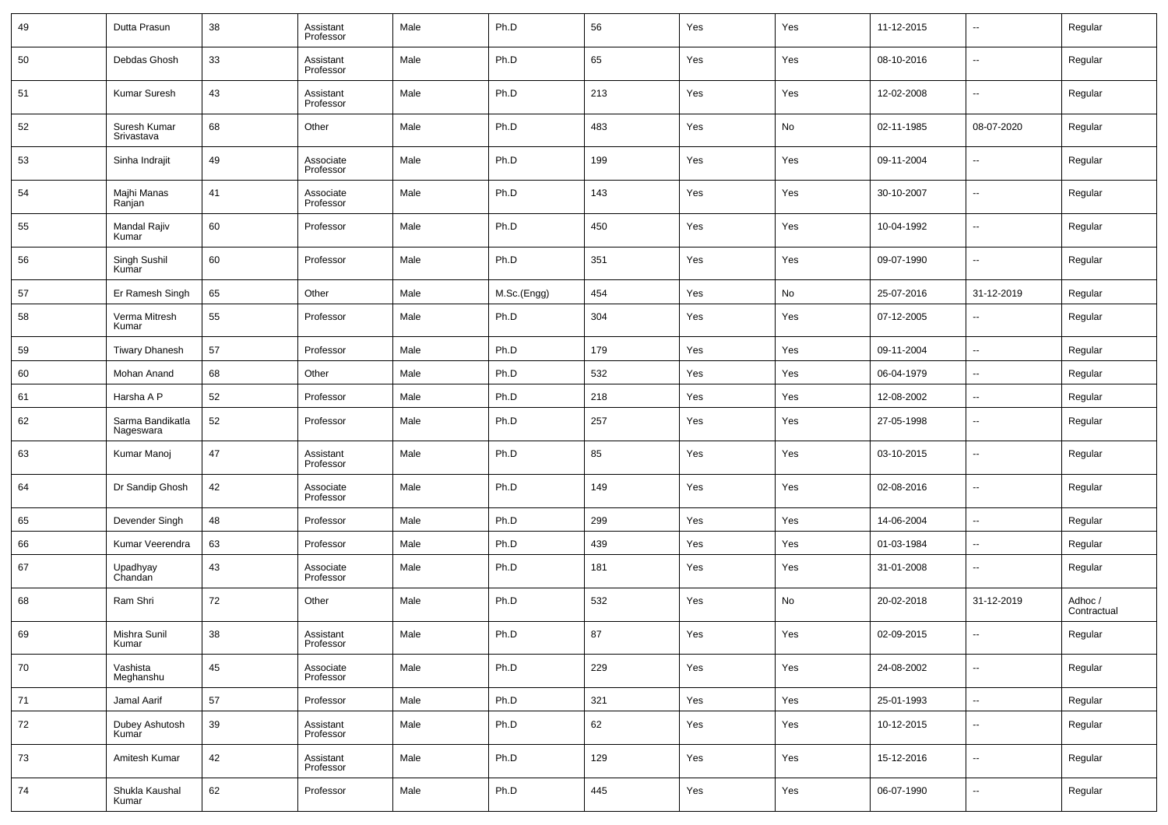| 49 | Dutta Prasun                  | 38 | Assistant<br>Professor | Male | Ph.D        | 56  | Yes | Yes | 11-12-2015 | --                       | Regular                |
|----|-------------------------------|----|------------------------|------|-------------|-----|-----|-----|------------|--------------------------|------------------------|
| 50 | Debdas Ghosh                  | 33 | Assistant<br>Professor | Male | Ph.D        | 65  | Yes | Yes | 08-10-2016 | --                       | Regular                |
| 51 | Kumar Suresh                  | 43 | Assistant<br>Professor | Male | Ph.D        | 213 | Yes | Yes | 12-02-2008 | --                       | Regular                |
| 52 | Suresh Kumar<br>Srivastava    | 68 | Other                  | Male | Ph.D        | 483 | Yes | No  | 02-11-1985 | 08-07-2020               | Regular                |
| 53 | Sinha Indrajit                | 49 | Associate<br>Professor | Male | Ph.D        | 199 | Yes | Yes | 09-11-2004 | --                       | Regular                |
| 54 | Majhi Manas<br>Ranjan         | 41 | Associate<br>Professor | Male | Ph.D        | 143 | Yes | Yes | 30-10-2007 | --                       | Regular                |
| 55 | Mandal Rajiv<br>Kumar         | 60 | Professor              | Male | Ph.D        | 450 | Yes | Yes | 10-04-1992 | --                       | Regular                |
| 56 | Singh Sushil<br>Kumar         | 60 | Professor              | Male | Ph.D        | 351 | Yes | Yes | 09-07-1990 | ш,                       | Regular                |
| 57 | Er Ramesh Singh               | 65 | Other                  | Male | M.Sc.(Engg) | 454 | Yes | No  | 25-07-2016 | 31-12-2019               | Regular                |
| 58 | Verma Mitresh<br>Kumar        | 55 | Professor              | Male | Ph.D        | 304 | Yes | Yes | 07-12-2005 | --                       | Regular                |
| 59 | <b>Tiwary Dhanesh</b>         | 57 | Professor              | Male | Ph.D        | 179 | Yes | Yes | 09-11-2004 | н.                       | Regular                |
| 60 | Mohan Anand                   | 68 | Other                  | Male | Ph.D        | 532 | Yes | Yes | 06-04-1979 | ш,                       | Regular                |
| 61 | Harsha A P                    | 52 | Professor              | Male | Ph.D        | 218 | Yes | Yes | 12-08-2002 | --                       | Regular                |
| 62 | Sarma Bandikatla<br>Nageswara | 52 | Professor              | Male | Ph.D        | 257 | Yes | Yes | 27-05-1998 | --                       | Regular                |
| 63 | Kumar Manoj                   | 47 | Assistant<br>Professor | Male | Ph.D        | 85  | Yes | Yes | 03-10-2015 | --                       | Regular                |
| 64 | Dr Sandip Ghosh               | 42 | Associate<br>Professor | Male | Ph.D        | 149 | Yes | Yes | 02-08-2016 | --                       | Regular                |
| 65 | Devender Singh                | 48 | Professor              | Male | Ph.D        | 299 | Yes | Yes | 14-06-2004 | ш,                       | Regular                |
| 66 | Kumar Veerendra               | 63 | Professor              | Male | Ph.D        | 439 | Yes | Yes | 01-03-1984 | н.                       | Regular                |
| 67 | Upadhyay<br>Chandan           | 43 | Associate<br>Professor | Male | Ph.D        | 181 | Yes | Yes | 31-01-2008 | --                       | Regular                |
| 68 | Ram Shri                      | 72 | Other                  | Male | Ph.D        | 532 | Yes | No  | 20-02-2018 | 31-12-2019               | Adhoc /<br>Contractual |
| 69 | Mishra Sunil<br>Kumar         | 38 | Assistant<br>Professor | Male | Ph.D        | 87  | Yes | Yes | 02-09-2015 |                          | Regular                |
| 70 | Vashista<br>Meghanshu         | 45 | Associate<br>Professor | Male | Ph.D        | 229 | Yes | Yes | 24-08-2002 | $\overline{\phantom{a}}$ | Regular                |
| 71 | Jamal Aarif                   | 57 | Professor              | Male | Ph.D        | 321 | Yes | Yes | 25-01-1993 | u,                       | Regular                |
| 72 | Dubey Ashutosh<br>Kumar       | 39 | Assistant<br>Professor | Male | Ph.D        | 62  | Yes | Yes | 10-12-2015 | $\sim$                   | Regular                |
| 73 | Amitesh Kumar                 | 42 | Assistant<br>Professor | Male | Ph.D        | 129 | Yes | Yes | 15-12-2016 | $\sim$                   | Regular                |
| 74 | Shukla Kaushal<br>Kumar       | 62 | Professor              | Male | Ph.D        | 445 | Yes | Yes | 06-07-1990 | --                       | Regular                |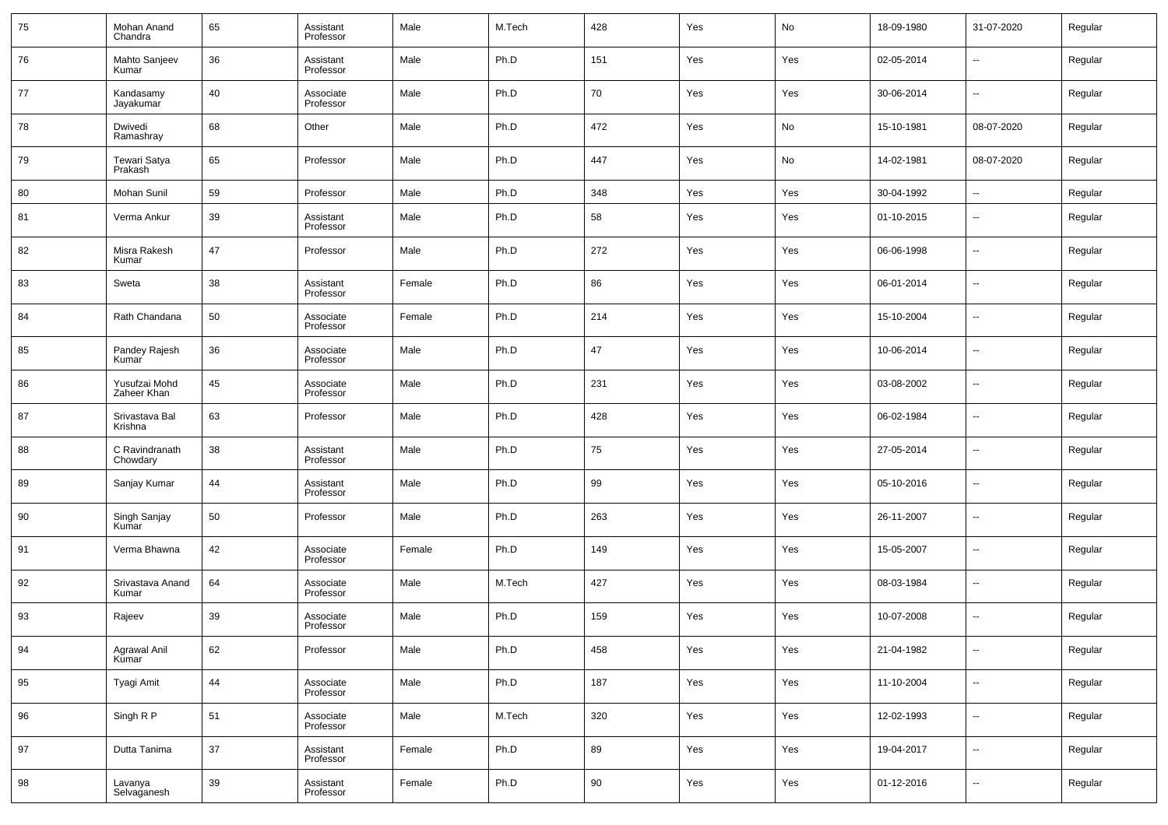| 75 | Mohan Anand<br>Chandra       | 65 | Assistant<br>Professor | Male   | M.Tech | 428 | Yes | No  | 18-09-1980 | 31-07-2020               | Regular |
|----|------------------------------|----|------------------------|--------|--------|-----|-----|-----|------------|--------------------------|---------|
| 76 | Mahto Sanjeev<br>Kumar       | 36 | Assistant<br>Professor | Male   | Ph.D   | 151 | Yes | Yes | 02-05-2014 | $\overline{\phantom{a}}$ | Regular |
| 77 | Kandasamy<br>Jayakumar       | 40 | Associate<br>Professor | Male   | Ph.D   | 70  | Yes | Yes | 30-06-2014 | $\overline{\phantom{a}}$ | Regular |
| 78 | Dwivedi<br>Ramashray         | 68 | Other                  | Male   | Ph.D   | 472 | Yes | No  | 15-10-1981 | 08-07-2020               | Regular |
| 79 | Tewari Satya<br>Prakash      | 65 | Professor              | Male   | Ph.D   | 447 | Yes | No  | 14-02-1981 | 08-07-2020               | Regular |
| 80 | Mohan Sunil                  | 59 | Professor              | Male   | Ph.D   | 348 | Yes | Yes | 30-04-1992 | $\sim$                   | Regular |
| 81 | Verma Ankur                  | 39 | Assistant<br>Professor | Male   | Ph.D   | 58  | Yes | Yes | 01-10-2015 | $\sim$                   | Regular |
| 82 | Misra Rakesh<br>Kumar        | 47 | Professor              | Male   | Ph.D   | 272 | Yes | Yes | 06-06-1998 | $\overline{\phantom{a}}$ | Regular |
| 83 | Sweta                        | 38 | Assistant<br>Professor | Female | Ph.D   | 86  | Yes | Yes | 06-01-2014 | $\overline{\phantom{a}}$ | Regular |
| 84 | Rath Chandana                | 50 | Associate<br>Professor | Female | Ph.D   | 214 | Yes | Yes | 15-10-2004 | $\sim$                   | Regular |
| 85 | Pandey Rajesh<br>Kumar       | 36 | Associate<br>Professor | Male   | Ph.D   | 47  | Yes | Yes | 10-06-2014 | $\overline{\phantom{a}}$ | Regular |
| 86 | Yusufzai Mohd<br>Zaheer Khan | 45 | Associate<br>Professor | Male   | Ph.D   | 231 | Yes | Yes | 03-08-2002 | $\sim$                   | Regular |
| 87 | Srivastava Bal<br>Krishna    | 63 | Professor              | Male   | Ph.D   | 428 | Yes | Yes | 06-02-1984 | $\overline{\phantom{a}}$ | Regular |
| 88 | C Ravindranath<br>Chowdary   | 38 | Assistant<br>Professor | Male   | Ph.D   | 75  | Yes | Yes | 27-05-2014 | $\sim$                   | Regular |
| 89 | Sanjay Kumar                 | 44 | Assistant<br>Professor | Male   | Ph.D   | 99  | Yes | Yes | 05-10-2016 | $\overline{\phantom{a}}$ | Regular |
| 90 | Singh Sanjay<br>Kumar        | 50 | Professor              | Male   | Ph.D   | 263 | Yes | Yes | 26-11-2007 | $\sim$                   | Regular |
| 91 | Verma Bhawna                 | 42 | Associate<br>Professor | Female | Ph.D   | 149 | Yes | Yes | 15-05-2007 | $\sim$                   | Regular |
| 92 | Srivastava Anand<br>Kumar    | 64 | Associate<br>Professor | Male   | M.Tech | 427 | Yes | Yes | 08-03-1984 | $\overline{\phantom{a}}$ | Regular |
| 93 | Rajeev                       | 39 | Associate<br>Professor | Male   | Ph.D   | 159 | Yes | Yes | 10-07-2008 | $\overline{\phantom{a}}$ | Regular |
| 94 | Agrawal Anil<br>Kumar        | 62 | Professor              | Male   | Ph.D   | 458 | Yes | Yes | 21-04-1982 | $\sim$                   | Regular |
| 95 | Tyagi Amit                   | 44 | Associate<br>Professor | Male   | Ph.D   | 187 | Yes | Yes | 11-10-2004 | $\overline{\phantom{a}}$ | Regular |
| 96 | Singh R P                    | 51 | Associate<br>Professor | Male   | M.Tech | 320 | Yes | Yes | 12-02-1993 | $\overline{\phantom{a}}$ | Regular |
| 97 | Dutta Tanima                 | 37 | Assistant<br>Professor | Female | Ph.D   | 89  | Yes | Yes | 19-04-2017 | $\overline{\phantom{a}}$ | Regular |
| 98 | Lavanya<br>Selvaganesh       | 39 | Assistant<br>Professor | Female | Ph.D   | 90  | Yes | Yes | 01-12-2016 | $\overline{\phantom{a}}$ | Regular |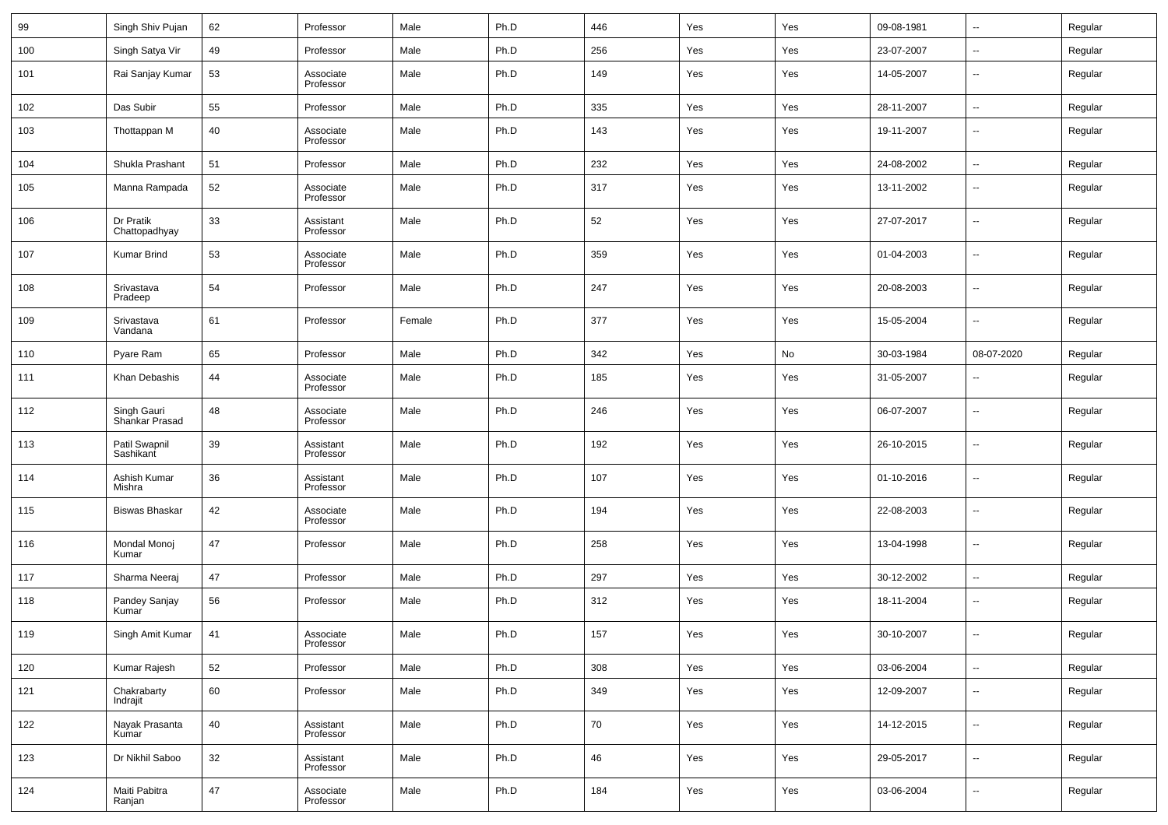| 99  | Singh Shiv Pujan              | 62 | Professor              | Male   | Ph.D | 446 | Yes | Yes | 09-08-1981 | $\overline{\phantom{a}}$ | Regular |
|-----|-------------------------------|----|------------------------|--------|------|-----|-----|-----|------------|--------------------------|---------|
| 100 | Singh Satya Vir               | 49 | Professor              | Male   | Ph.D | 256 | Yes | Yes | 23-07-2007 | $\sim$                   | Regular |
| 101 | Rai Sanjay Kumar              | 53 | Associate<br>Professor | Male   | Ph.D | 149 | Yes | Yes | 14-05-2007 | $\overline{\phantom{a}}$ | Regular |
| 102 | Das Subir                     | 55 | Professor              | Male   | Ph.D | 335 | Yes | Yes | 28-11-2007 | $\sim$                   | Regular |
| 103 | Thottappan M                  | 40 | Associate<br>Professor | Male   | Ph.D | 143 | Yes | Yes | 19-11-2007 | --                       | Regular |
| 104 | Shukla Prashant               | 51 | Professor              | Male   | Ph.D | 232 | Yes | Yes | 24-08-2002 | $\sim$                   | Regular |
| 105 | Manna Rampada                 | 52 | Associate<br>Professor | Male   | Ph.D | 317 | Yes | Yes | 13-11-2002 | --                       | Regular |
| 106 | Dr Pratik<br>Chattopadhyay    | 33 | Assistant<br>Professor | Male   | Ph.D | 52  | Yes | Yes | 27-07-2017 | --                       | Regular |
| 107 | Kumar Brind                   | 53 | Associate<br>Professor | Male   | Ph.D | 359 | Yes | Yes | 01-04-2003 | --                       | Regular |
| 108 | Srivastava<br>Pradeep         | 54 | Professor              | Male   | Ph.D | 247 | Yes | Yes | 20-08-2003 | --                       | Regular |
| 109 | Srivastava<br>Vandana         | 61 | Professor              | Female | Ph.D | 377 | Yes | Yes | 15-05-2004 | --                       | Regular |
| 110 | Pyare Ram                     | 65 | Professor              | Male   | Ph.D | 342 | Yes | No  | 30-03-1984 | 08-07-2020               | Regular |
| 111 | Khan Debashis                 | 44 | Associate<br>Professor | Male   | Ph.D | 185 | Yes | Yes | 31-05-2007 | $\overline{a}$           | Regular |
| 112 | Singh Gauri<br>Shankar Prasad | 48 | Associate<br>Professor | Male   | Ph.D | 246 | Yes | Yes | 06-07-2007 | --                       | Regular |
| 113 | Patil Swapnil<br>Sashikant    | 39 | Assistant<br>Professor | Male   | Ph.D | 192 | Yes | Yes | 26-10-2015 | ш,                       | Regular |
| 114 | Ashish Kumar<br>Mishra        | 36 | Assistant<br>Professor | Male   | Ph.D | 107 | Yes | Yes | 01-10-2016 | --                       | Regular |
| 115 | Biswas Bhaskar                | 42 | Associate<br>Professor | Male   | Ph.D | 194 | Yes | Yes | 22-08-2003 | --                       | Regular |
| 116 | Mondal Monoj<br>Kumar         | 47 | Professor              | Male   | Ph.D | 258 | Yes | Yes | 13-04-1998 | --                       | Regular |
| 117 | Sharma Neerai                 | 47 | Professor              | Male   | Ph.D | 297 | Yes | Yes | 30-12-2002 | ш,                       | Regular |
| 118 | Pandey Sanjay<br>Kumar        | 56 | Professor              | Male   | Ph.D | 312 | Yes | Yes | 18-11-2004 | $\sim$                   | Regular |
| 119 | Singh Amit Kumar              | 41 | Associate<br>Professor | Male   | Ph.D | 157 | Yes | Yes | 30-10-2007 |                          | Regular |
| 120 | Kumar Rajesh                  | 52 | Professor              | Male   | Ph.D | 308 | Yes | Yes | 03-06-2004 | u,                       | Regular |
| 121 | Chakrabarty<br>Indrajit       | 60 | Professor              | Male   | Ph.D | 349 | Yes | Yes | 12-09-2007 | $\overline{\phantom{a}}$ | Regular |
| 122 | Nayak Prasanta<br>Kumar       | 40 | Assistant<br>Professor | Male   | Ph.D | 70  | Yes | Yes | 14-12-2015 | $\overline{\phantom{a}}$ | Regular |
| 123 | Dr Nikhil Saboo               | 32 | Assistant<br>Professor | Male   | Ph.D | 46  | Yes | Yes | 29-05-2017 | $\overline{\phantom{a}}$ | Regular |
| 124 | Maiti Pabitra<br>Ranjan       | 47 | Associate<br>Professor | Male   | Ph.D | 184 | Yes | Yes | 03-06-2004 | $\overline{\phantom{a}}$ | Regular |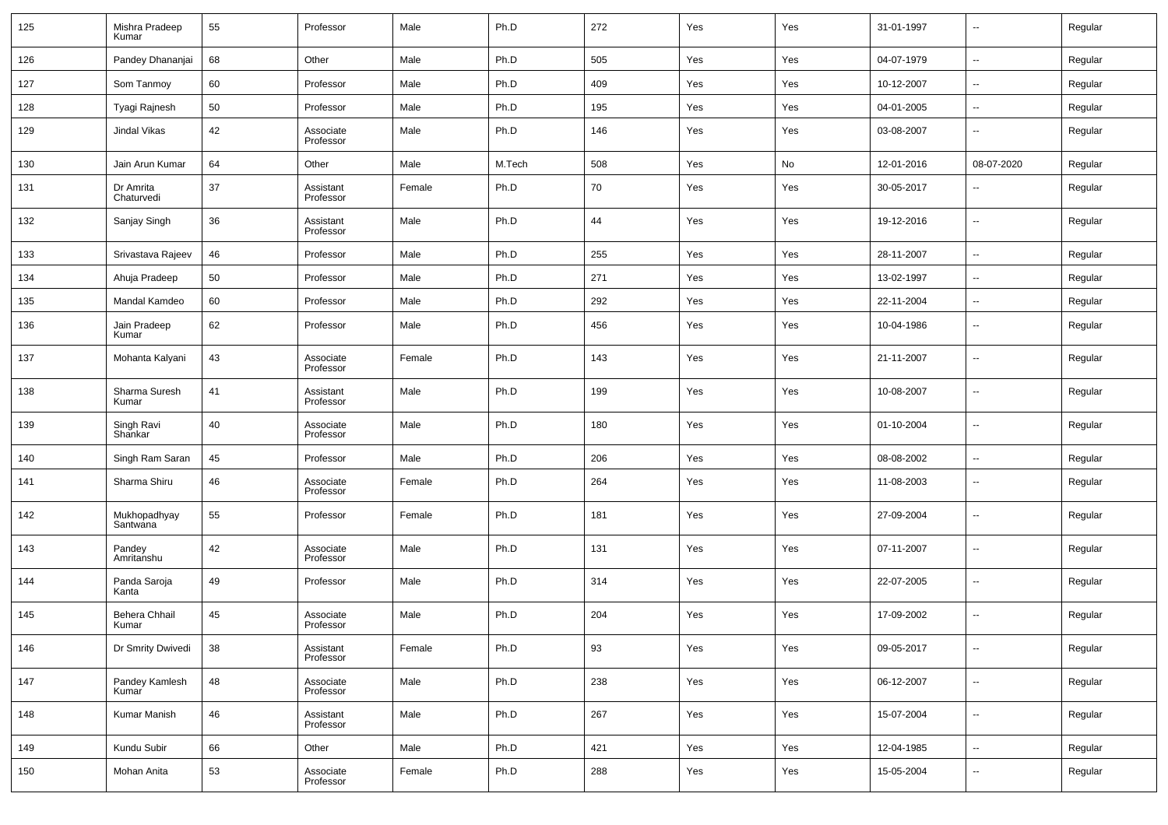| 125 | Mishra Pradeep<br>Kumar  | 55 | Professor              | Male   | Ph.D   | 272 | Yes | Yes | 31-01-1997 | $\overline{\phantom{a}}$ | Regular |
|-----|--------------------------|----|------------------------|--------|--------|-----|-----|-----|------------|--------------------------|---------|
| 126 | Pandey Dhananjai         | 68 | Other                  | Male   | Ph.D   | 505 | Yes | Yes | 04-07-1979 | $\sim$                   | Regular |
| 127 | Som Tanmoy               | 60 | Professor              | Male   | Ph.D   | 409 | Yes | Yes | 10-12-2007 | $\overline{\phantom{a}}$ | Regular |
| 128 | Tyagi Rajnesh            | 50 | Professor              | Male   | Ph.D   | 195 | Yes | Yes | 04-01-2005 | $\overline{\phantom{a}}$ | Regular |
| 129 | Jindal Vikas             | 42 | Associate<br>Professor | Male   | Ph.D   | 146 | Yes | Yes | 03-08-2007 | $\overline{\phantom{a}}$ | Regular |
| 130 | Jain Arun Kumar          | 64 | Other                  | Male   | M.Tech | 508 | Yes | No  | 12-01-2016 | 08-07-2020               | Regular |
| 131 | Dr Amrita<br>Chaturvedi  | 37 | Assistant<br>Professor | Female | Ph.D   | 70  | Yes | Yes | 30-05-2017 | $\overline{\phantom{a}}$ | Regular |
| 132 | Sanjay Singh             | 36 | Assistant<br>Professor | Male   | Ph.D   | 44  | Yes | Yes | 19-12-2016 | $\overline{\phantom{a}}$ | Regular |
| 133 | Srivastava Rajeev        | 46 | Professor              | Male   | Ph.D   | 255 | Yes | Yes | 28-11-2007 | $\overline{\phantom{a}}$ | Regular |
| 134 | Ahuja Pradeep            | 50 | Professor              | Male   | Ph.D   | 271 | Yes | Yes | 13-02-1997 | $\overline{\phantom{a}}$ | Regular |
| 135 | Mandal Kamdeo            | 60 | Professor              | Male   | Ph.D   | 292 | Yes | Yes | 22-11-2004 | $\overline{\phantom{a}}$ | Regular |
| 136 | Jain Pradeep<br>Kumar    | 62 | Professor              | Male   | Ph.D   | 456 | Yes | Yes | 10-04-1986 | $\overline{\phantom{a}}$ | Regular |
| 137 | Mohanta Kalyani          | 43 | Associate<br>Professor | Female | Ph.D   | 143 | Yes | Yes | 21-11-2007 | $\overline{\phantom{a}}$ | Regular |
| 138 | Sharma Suresh<br>Kumar   | 41 | Assistant<br>Professor | Male   | Ph.D   | 199 | Yes | Yes | 10-08-2007 | $\overline{\phantom{a}}$ | Regular |
| 139 | Singh Ravi<br>Shankar    | 40 | Associate<br>Professor | Male   | Ph.D   | 180 | Yes | Yes | 01-10-2004 | $\overline{\phantom{a}}$ | Regular |
| 140 | Singh Ram Saran          | 45 | Professor              | Male   | Ph.D   | 206 | Yes | Yes | 08-08-2002 | $\overline{\phantom{a}}$ | Regular |
| 141 | Sharma Shiru             | 46 | Associate<br>Professor | Female | Ph.D   | 264 | Yes | Yes | 11-08-2003 | $\overline{\phantom{a}}$ | Regular |
| 142 | Mukhopadhyay<br>Santwana | 55 | Professor              | Female | Ph.D   | 181 | Yes | Yes | 27-09-2004 | $\overline{\phantom{a}}$ | Regular |
| 143 | Pandey<br>Amritanshu     | 42 | Associate<br>Professor | Male   | Ph.D   | 131 | Yes | Yes | 07-11-2007 | $\overline{\phantom{a}}$ | Regular |
| 144 | Panda Saroja<br>Kanta    | 49 | Professor              | Male   | Ph.D   | 314 | Yes | Yes | 22-07-2005 | $\overline{\phantom{a}}$ | Regular |
| 145 | Behera Chhail<br>Kumar   | 45 | Associate<br>Professor | Male   | Ph.D   | 204 | Yes | Yes | 17-09-2002 | $\overline{\phantom{a}}$ | Regular |
| 146 | Dr Smrity Dwivedi        | 38 | Assistant<br>Professor | Female | Ph.D   | 93  | Yes | Yes | 09-05-2017 | $\overline{\phantom{a}}$ | Regular |
| 147 | Pandey Kamlesh<br>Kumar  | 48 | Associate<br>Professor | Male   | Ph.D   | 238 | Yes | Yes | 06-12-2007 | $\overline{\phantom{a}}$ | Regular |
| 148 | Kumar Manish             | 46 | Assistant<br>Professor | Male   | Ph.D   | 267 | Yes | Yes | 15-07-2004 | $\overline{\phantom{a}}$ | Regular |
| 149 | Kundu Subir              | 66 | Other                  | Male   | Ph.D   | 421 | Yes | Yes | 12-04-1985 | $\sim$                   | Regular |
| 150 | Mohan Anita              | 53 | Associate<br>Professor | Female | Ph.D   | 288 | Yes | Yes | 15-05-2004 | $\overline{\phantom{a}}$ | Regular |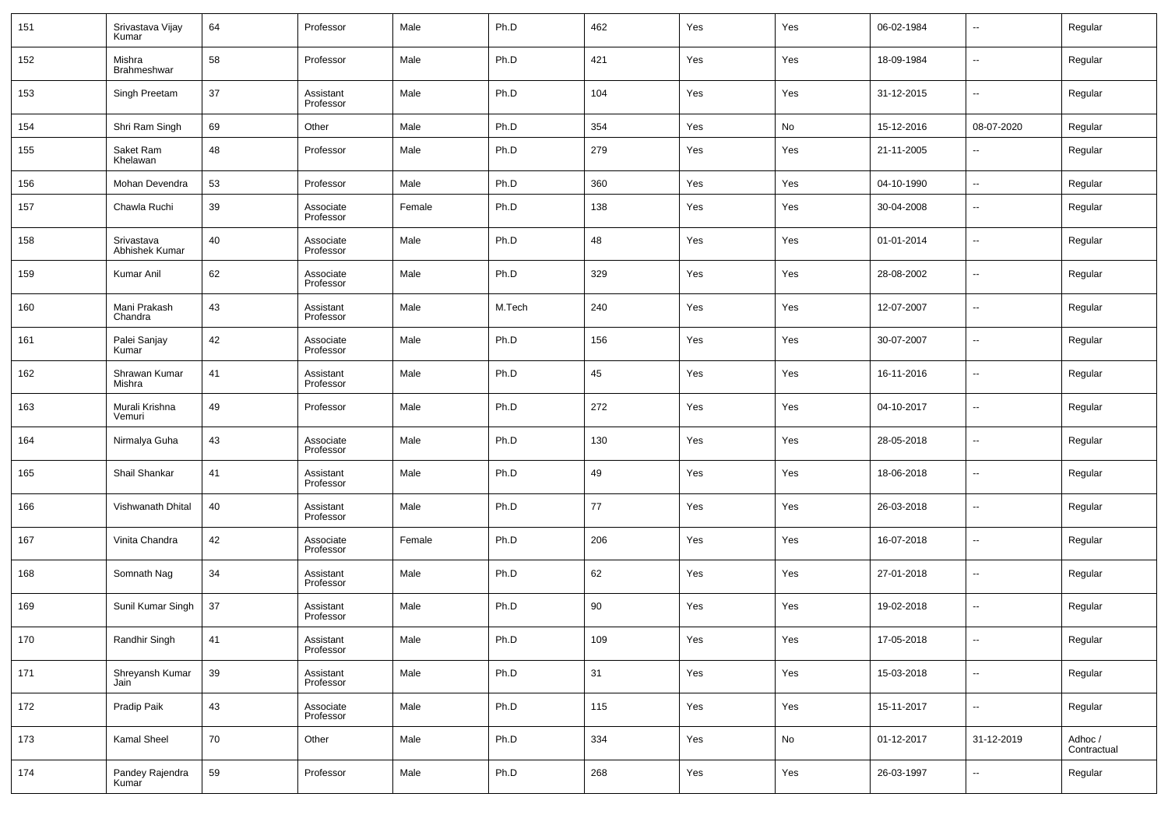| 151 | Srivastava Vijay<br>Kumar            | 64 | Professor              | Male   | Ph.D   | 462 | Yes | Yes | 06-02-1984 | $\sim$                   | Regular                |
|-----|--------------------------------------|----|------------------------|--------|--------|-----|-----|-----|------------|--------------------------|------------------------|
| 152 | Mishra<br>Brahmeshwar                | 58 | Professor              | Male   | Ph.D   | 421 | Yes | Yes | 18-09-1984 | $\sim$                   | Regular                |
| 153 | Singh Preetam                        | 37 | Assistant<br>Professor | Male   | Ph.D   | 104 | Yes | Yes | 31-12-2015 | $\sim$                   | Regular                |
| 154 | Shri Ram Singh                       | 69 | Other                  | Male   | Ph.D   | 354 | Yes | No  | 15-12-2016 | 08-07-2020               | Regular                |
| 155 | Saket Ram<br>Khelawan                | 48 | Professor              | Male   | Ph.D   | 279 | Yes | Yes | 21-11-2005 | --                       | Regular                |
| 156 | Mohan Devendra                       | 53 | Professor              | Male   | Ph.D   | 360 | Yes | Yes | 04-10-1990 | $\overline{\phantom{a}}$ | Regular                |
| 157 | Chawla Ruchi                         | 39 | Associate<br>Professor | Female | Ph.D   | 138 | Yes | Yes | 30-04-2008 | $\overline{\phantom{a}}$ | Regular                |
| 158 | Srivastava<br>Abhishek Kumar         | 40 | Associate<br>Professor | Male   | Ph.D   | 48  | Yes | Yes | 01-01-2014 | $\overline{\phantom{a}}$ | Regular                |
| 159 | Kumar Anil                           | 62 | Associate<br>Professor | Male   | Ph.D   | 329 | Yes | Yes | 28-08-2002 | $\overline{\phantom{a}}$ | Regular                |
| 160 | Mani Prakash<br>Chandra              | 43 | Assistant<br>Professor | Male   | M.Tech | 240 | Yes | Yes | 12-07-2007 | $\overline{\phantom{a}}$ | Regular                |
| 161 | Palei Sanjay<br>Kumar                | 42 | Associate<br>Professor | Male   | Ph.D   | 156 | Yes | Yes | 30-07-2007 | $\overline{\phantom{a}}$ | Regular                |
| 162 | Shrawan Kumar<br>Mishra              | 41 | Assistant<br>Professor | Male   | Ph.D   | 45  | Yes | Yes | 16-11-2016 | $\overline{\phantom{a}}$ | Regular                |
| 163 | Murali Krishna<br>Vemuri             | 49 | Professor              | Male   | Ph.D   | 272 | Yes | Yes | 04-10-2017 | $\overline{\phantom{a}}$ | Regular                |
| 164 | Nirmalya Guha                        | 43 | Associate<br>Professor | Male   | Ph.D   | 130 | Yes | Yes | 28-05-2018 | $\overline{\phantom{a}}$ | Regular                |
| 165 | Shail Shankar                        | 41 | Assistant<br>Professor | Male   | Ph.D   | 49  | Yes | Yes | 18-06-2018 | $\sim$                   | Regular                |
| 166 | Vishwanath Dhital                    | 40 | Assistant<br>Professor | Male   | Ph.D   | 77  | Yes | Yes | 26-03-2018 | $\overline{\phantom{a}}$ | Regular                |
| 167 | Vinita Chandra                       | 42 | Associate<br>Professor | Female | Ph.D   | 206 | Yes | Yes | 16-07-2018 | $\overline{\phantom{a}}$ | Regular                |
| 168 | Somnath Nag                          | 34 | Assistant<br>Professor | Male   | Ph.D   | 62  | Yes | Yes | 27-01-2018 | $\overline{\phantom{a}}$ | Regular                |
| 169 | Sunil Kumar Singh                    | 37 | Assistant<br>Professor | Male   | Ph.D   | 90  | Yes | Yes | 19-02-2018 | $\overline{\phantom{a}}$ | Regular                |
| 170 | Randhir Singh                        | 41 | Assistant<br>Professor | Male   | Ph.D   | 109 | Yes | Yes | 17-05-2018 | $\overline{\phantom{a}}$ | Regular                |
| 171 | Shreyansh Kumar<br>Jain <sup>'</sup> | 39 | Assistant<br>Professor | Male   | Ph.D   | 31  | Yes | Yes | 15-03-2018 | $\sim$                   | Regular                |
| 172 | Pradip Paik                          | 43 | Associate<br>Professor | Male   | Ph.D   | 115 | Yes | Yes | 15-11-2017 | $\overline{\phantom{a}}$ | Regular                |
| 173 | Kamal Sheel                          | 70 | Other                  | Male   | Ph.D   | 334 | Yes | No  | 01-12-2017 | 31-12-2019               | Adhoc /<br>Contractual |
| 174 | Pandey Rajendra<br>Kumar             | 59 | Professor              | Male   | Ph.D   | 268 | Yes | Yes | 26-03-1997 | $\sim$                   | Regular                |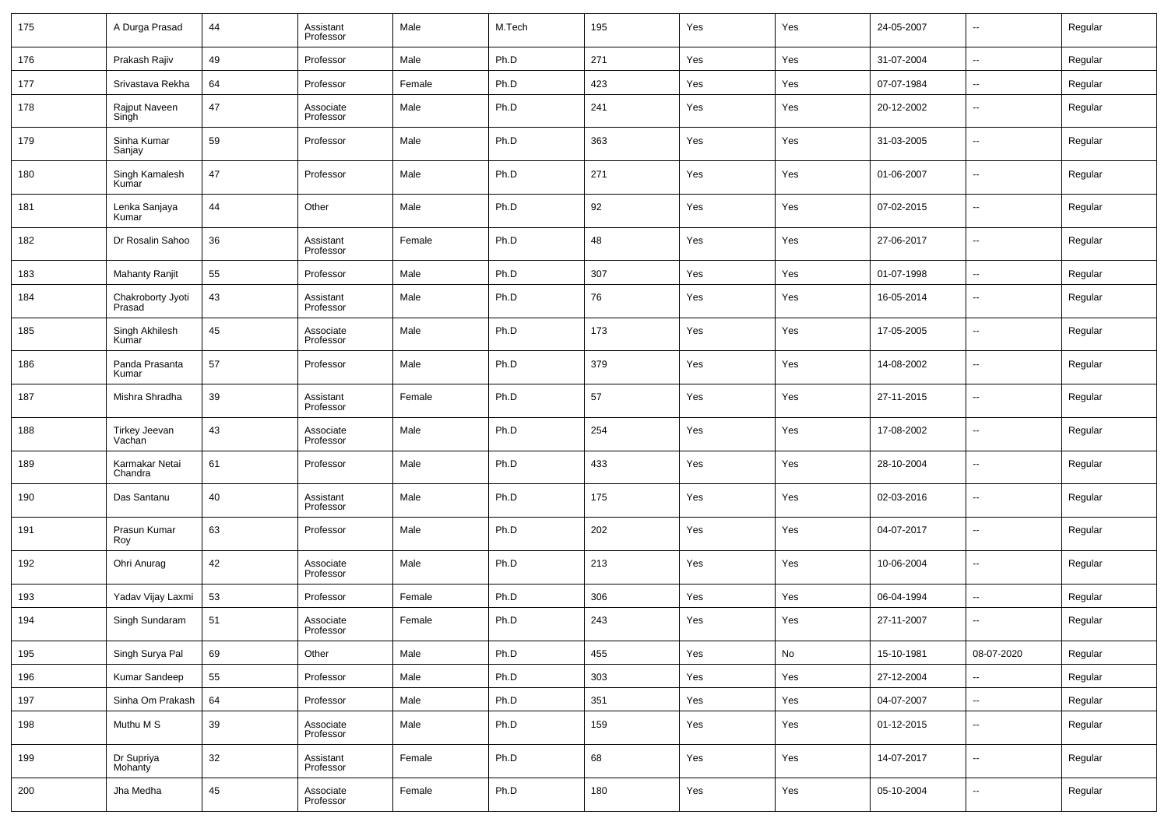| 175 | A Durga Prasad              | 44 | Assistant<br>Professor | Male   | M.Tech | 195 | Yes | Yes | 24-05-2007 | ш,                       | Regular |
|-----|-----------------------------|----|------------------------|--------|--------|-----|-----|-----|------------|--------------------------|---------|
| 176 | Prakash Rajiv               | 49 | Professor              | Male   | Ph.D   | 271 | Yes | Yes | 31-07-2004 | ш,                       | Regular |
| 177 | Srivastava Rekha            | 64 | Professor              | Female | Ph.D   | 423 | Yes | Yes | 07-07-1984 | $\sim$                   | Regular |
| 178 | Rajput Naveen<br>Singh      | 47 | Associate<br>Professor | Male   | Ph.D   | 241 | Yes | Yes | 20-12-2002 | --                       | Regular |
| 179 | Sinha Kumar<br>Sanjay       | 59 | Professor              | Male   | Ph.D   | 363 | Yes | Yes | 31-03-2005 | н.                       | Regular |
| 180 | Singh Kamalesh<br>Kumar     | 47 | Professor              | Male   | Ph.D   | 271 | Yes | Yes | 01-06-2007 | н.                       | Regular |
| 181 | Lenka Sanjaya<br>Kumar      | 44 | Other                  | Male   | Ph.D   | 92  | Yes | Yes | 07-02-2015 | $\sim$                   | Regular |
| 182 | Dr Rosalin Sahoo            | 36 | Assistant<br>Professor | Female | Ph.D   | 48  | Yes | Yes | 27-06-2017 | $\sim$                   | Regular |
| 183 | Mahanty Ranjit              | 55 | Professor              | Male   | Ph.D   | 307 | Yes | Yes | 01-07-1998 | $\overline{\phantom{a}}$ | Regular |
| 184 | Chakroborty Jyoti<br>Prasad | 43 | Assistant<br>Professor | Male   | Ph.D   | 76  | Yes | Yes | 16-05-2014 | --                       | Regular |
| 185 | Singh Akhilesh<br>Kumar     | 45 | Associate<br>Professor | Male   | Ph.D   | 173 | Yes | Yes | 17-05-2005 | --                       | Regular |
| 186 | Panda Prasanta<br>Kumar     | 57 | Professor              | Male   | Ph.D   | 379 | Yes | Yes | 14-08-2002 | ш,                       | Regular |
| 187 | Mishra Shradha              | 39 | Assistant<br>Professor | Female | Ph.D   | 57  | Yes | Yes | 27-11-2015 | --                       | Regular |
| 188 | Tirkey Jeevan<br>Vachan     | 43 | Associate<br>Professor | Male   | Ph.D   | 254 | Yes | Yes | 17-08-2002 | ш,                       | Regular |
| 189 | Karmakar Netai<br>Chandra   | 61 | Professor              | Male   | Ph.D   | 433 | Yes | Yes | 28-10-2004 | --                       | Regular |
| 190 | Das Santanu                 | 40 | Assistant<br>Professor | Male   | Ph.D   | 175 | Yes | Yes | 02-03-2016 | --                       | Regular |
| 191 | Prasun Kumar<br>Roy         | 63 | Professor              | Male   | Ph.D   | 202 | Yes | Yes | 04-07-2017 | --                       | Regular |
| 192 | Ohri Anurag                 | 42 | Associate<br>Professor | Male   | Ph.D   | 213 | Yes | Yes | 10-06-2004 | --                       | Regular |
| 193 | Yadav Vijay Laxmi           | 53 | Professor              | Female | Ph.D   | 306 | Yes | Yes | 06-04-1994 | ш,                       | Regular |
| 194 | Singh Sundaram              | 51 | Associate<br>Professor | Female | Ph.D   | 243 | Yes | Yes | 27-11-2007 | $\overline{a}$           | Regular |
| 195 | Singh Surya Pal             | 69 | Other                  | Male   | Ph.D   | 455 | Yes | No  | 15-10-1981 | 08-07-2020               | Regular |
| 196 | Kumar Sandeep               | 55 | Professor              | Male   | Ph.D   | 303 | Yes | Yes | 27-12-2004 | $\overline{\phantom{a}}$ | Regular |
| 197 | Sinha Om Prakash            | 64 | Professor              | Male   | Ph.D   | 351 | Yes | Yes | 04-07-2007 | ۰.                       | Regular |
| 198 | Muthu M S                   | 39 | Associate<br>Professor | Male   | Ph.D   | 159 | Yes | Yes | 01-12-2015 | $\sim$                   | Regular |
| 199 | Dr Supriya<br>Mohanty       | 32 | Assistant<br>Professor | Female | Ph.D   | 68  | Yes | Yes | 14-07-2017 | $\overline{\phantom{a}}$ | Regular |
| 200 | Jha Medha                   | 45 | Associate<br>Professor | Female | Ph.D   | 180 | Yes | Yes | 05-10-2004 | $\sim$                   | Regular |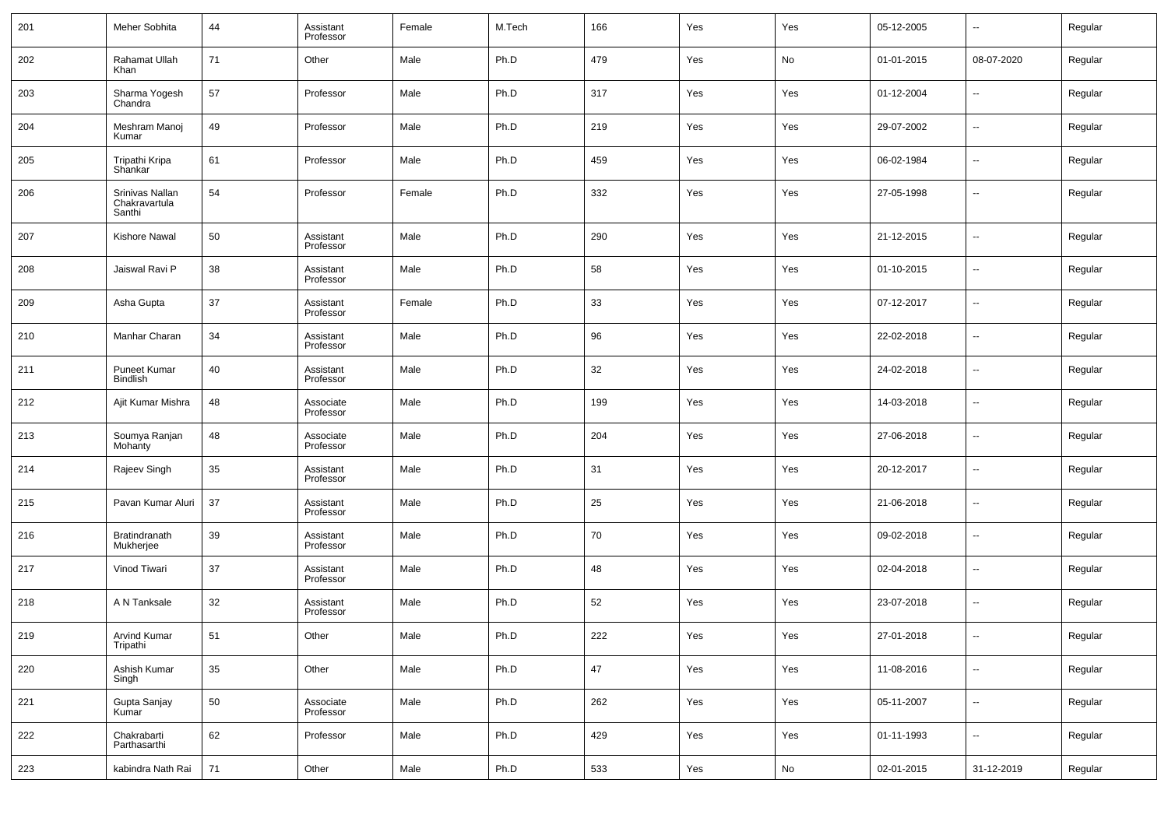| 201 | Meher Sobhita                              | 44 | Assistant<br>Professor | Female | M.Tech | 166    | Yes | Yes | 05-12-2005 | ⊶.                       | Regular |
|-----|--------------------------------------------|----|------------------------|--------|--------|--------|-----|-----|------------|--------------------------|---------|
| 202 | Rahamat Ullah<br>Khan                      | 71 | Other                  | Male   | Ph.D   | 479    | Yes | No  | 01-01-2015 | 08-07-2020               | Regular |
| 203 | Sharma Yogesh<br>Chandra                   | 57 | Professor              | Male   | Ph.D   | 317    | Yes | Yes | 01-12-2004 | ⊶.                       | Regular |
| 204 | Meshram Manoj<br>Kumar                     | 49 | Professor              | Male   | Ph.D   | 219    | Yes | Yes | 29-07-2002 | $\overline{\phantom{a}}$ | Regular |
| 205 | Tripathi Kripa<br>Shankar                  | 61 | Professor              | Male   | Ph.D   | 459    | Yes | Yes | 06-02-1984 | $\sim$                   | Regular |
| 206 | Srinivas Nallan<br>Chakravartula<br>Santhi | 54 | Professor              | Female | Ph.D   | 332    | Yes | Yes | 27-05-1998 | н.                       | Regular |
| 207 | Kishore Nawal                              | 50 | Assistant<br>Professor | Male   | Ph.D   | 290    | Yes | Yes | 21-12-2015 | -−                       | Regular |
| 208 | Jaiswal Ravi P                             | 38 | Assistant<br>Professor | Male   | Ph.D   | 58     | Yes | Yes | 01-10-2015 | $\sim$                   | Regular |
| 209 | Asha Gupta                                 | 37 | Assistant<br>Professor | Female | Ph.D   | 33     | Yes | Yes | 07-12-2017 | --                       | Regular |
| 210 | Manhar Charan                              | 34 | Assistant<br>Professor | Male   | Ph.D   | 96     | Yes | Yes | 22-02-2018 | $\sim$                   | Regular |
| 211 | <b>Puneet Kumar</b><br><b>Bindlish</b>     | 40 | Assistant<br>Professor | Male   | Ph.D   | 32     | Yes | Yes | 24-02-2018 | $\overline{\phantom{a}}$ | Regular |
| 212 | Ajit Kumar Mishra                          | 48 | Associate<br>Professor | Male   | Ph.D   | 199    | Yes | Yes | 14-03-2018 | $\sim$                   | Regular |
| 213 | Soumya Ranjan<br>Mohanty                   | 48 | Associate<br>Professor | Male   | Ph.D   | 204    | Yes | Yes | 27-06-2018 | ⊶.                       | Regular |
| 214 | Rajeev Singh                               | 35 | Assistant<br>Professor | Male   | Ph.D   | 31     | Yes | Yes | 20-12-2017 | ⊶.                       | Regular |
| 215 | Pavan Kumar Aluri                          | 37 | Assistant<br>Professor | Male   | Ph.D   | 25     | Yes | Yes | 21-06-2018 | ⊶.                       | Regular |
| 216 | Bratindranath<br>Mukherjee                 | 39 | Assistant<br>Professor | Male   | Ph.D   | 70     | Yes | Yes | 09-02-2018 | ⊶.                       | Regular |
| 217 | Vinod Tiwari                               | 37 | Assistant<br>Professor | Male   | Ph.D   | 48     | Yes | Yes | 02-04-2018 | ⊶.                       | Regular |
| 218 | A N Tanksale                               | 32 | Assistant<br>Professor | Male   | Ph.D   | 52     | Yes | Yes | 23-07-2018 | $\sim$                   | Regular |
| 219 | <b>Arvind Kumar</b><br>Tripathi            | 51 | Other                  | Male   | Ph.D   | 222    | Yes | Yes | 27-01-2018 |                          | Regular |
| 220 | Ashish Kumar<br>Singh                      | 35 | Other                  | Male   | Ph.D   | $47\,$ | Yes | Yes | 11-08-2016 | $\overline{\phantom{a}}$ | Regular |
| 221 | Gupta Sanjay<br>Kumar                      | 50 | Associate<br>Professor | Male   | Ph.D   | 262    | Yes | Yes | 05-11-2007 | $\overline{\phantom{a}}$ | Regular |
| 222 | Chakrabarti<br>Parthasarthi                | 62 | Professor              | Male   | Ph.D   | 429    | Yes | Yes | 01-11-1993 | н.                       | Regular |
| 223 | kabindra Nath Rai                          | 71 | Other                  | Male   | Ph.D   | 533    | Yes | No  | 02-01-2015 | 31-12-2019               | Regular |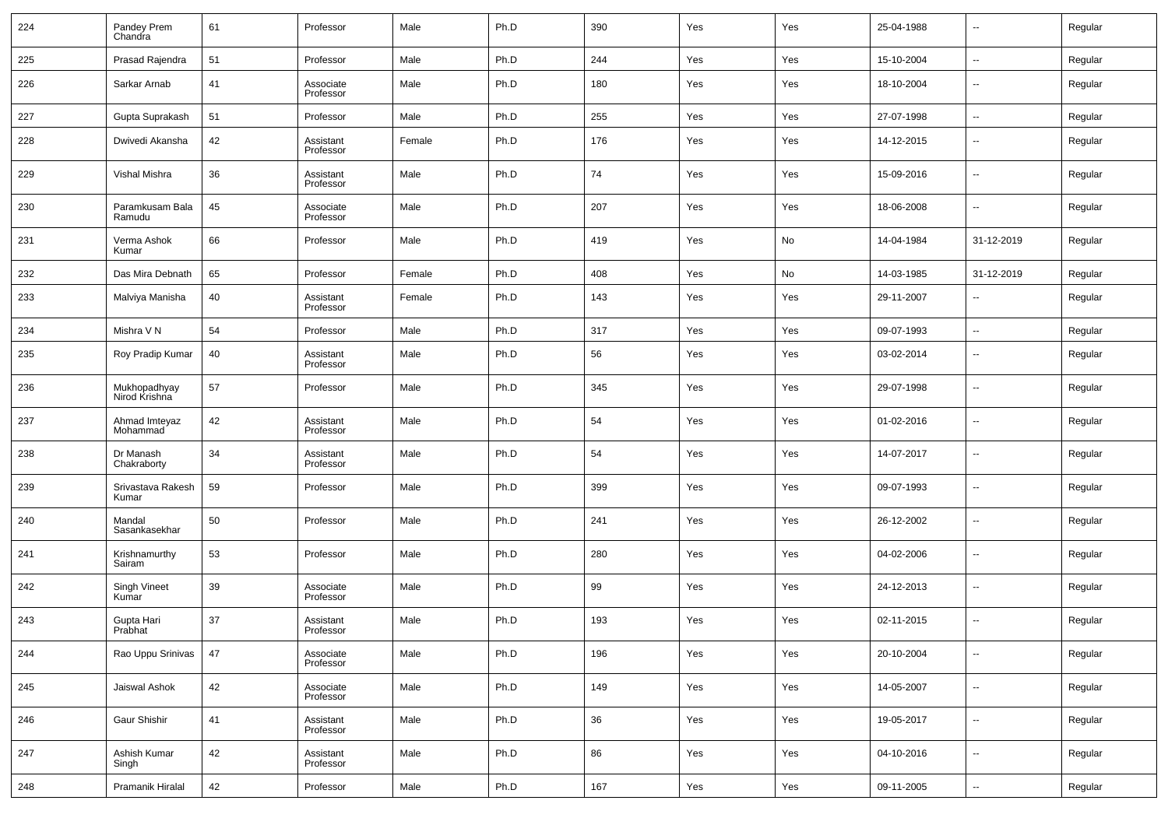| 224 | Pandey Prem<br>Chandra        | 61 | Professor              | Male   | Ph.D | 390 | Yes | Yes | 25-04-1988 | --                       | Regular |
|-----|-------------------------------|----|------------------------|--------|------|-----|-----|-----|------------|--------------------------|---------|
| 225 | Prasad Rajendra               | 51 | Professor              | Male   | Ph.D | 244 | Yes | Yes | 15-10-2004 | $\overline{\phantom{a}}$ | Regular |
| 226 | Sarkar Arnab                  | 41 | Associate<br>Professor | Male   | Ph.D | 180 | Yes | Yes | 18-10-2004 | $\overline{\phantom{a}}$ | Regular |
| 227 | Gupta Suprakash               | 51 | Professor              | Male   | Ph.D | 255 | Yes | Yes | 27-07-1998 | $\overline{\phantom{a}}$ | Regular |
| 228 | Dwivedi Akansha               | 42 | Assistant<br>Professor | Female | Ph.D | 176 | Yes | Yes | 14-12-2015 | $\sim$                   | Regular |
| 229 | Vishal Mishra                 | 36 | Assistant<br>Professor | Male   | Ph.D | 74  | Yes | Yes | 15-09-2016 | $\overline{\phantom{a}}$ | Regular |
| 230 | Paramkusam Bala<br>Ramudu     | 45 | Associate<br>Professor | Male   | Ph.D | 207 | Yes | Yes | 18-06-2008 | --                       | Regular |
| 231 | Verma Ashok<br>Kumar          | 66 | Professor              | Male   | Ph.D | 419 | Yes | No  | 14-04-1984 | 31-12-2019               | Regular |
| 232 | Das Mira Debnath              | 65 | Professor              | Female | Ph.D | 408 | Yes | No  | 14-03-1985 | 31-12-2019               | Regular |
| 233 | Malviya Manisha               | 40 | Assistant<br>Professor | Female | Ph.D | 143 | Yes | Yes | 29-11-2007 | --                       | Regular |
| 234 | Mishra V N                    | 54 | Professor              | Male   | Ph.D | 317 | Yes | Yes | 09-07-1993 | --                       | Regular |
| 235 | Roy Pradip Kumar              | 40 | Assistant<br>Professor | Male   | Ph.D | 56  | Yes | Yes | 03-02-2014 | --                       | Regular |
| 236 | Mukhopadhyay<br>Nirod Krishna | 57 | Professor              | Male   | Ph.D | 345 | Yes | Yes | 29-07-1998 | $\sim$                   | Regular |
| 237 | Ahmad Imteyaz<br>Mohammad     | 42 | Assistant<br>Professor | Male   | Ph.D | 54  | Yes | Yes | 01-02-2016 | $\overline{\phantom{a}}$ | Regular |
| 238 | Dr Manash<br>Chakraborty      | 34 | Assistant<br>Professor | Male   | Ph.D | 54  | Yes | Yes | 14-07-2017 | --                       | Regular |
| 239 | Srivastava Rakesh<br>Kumar    | 59 | Professor              | Male   | Ph.D | 399 | Yes | Yes | 09-07-1993 | $\overline{\phantom{a}}$ | Regular |
| 240 | Mandal<br>Sasankasekhar       | 50 | Professor              | Male   | Ph.D | 241 | Yes | Yes | 26-12-2002 | $\overline{\phantom{a}}$ | Regular |
| 241 | Krishnamurthy<br>Sairam       | 53 | Professor              | Male   | Ph.D | 280 | Yes | Yes | 04-02-2006 | $\sim$                   | Regular |
| 242 | Singh Vineet<br>Kumar         | 39 | Associate<br>Professor | Male   | Ph.D | 99  | Yes | Yes | 24-12-2013 | $\overline{\phantom{a}}$ | Regular |
| 243 | Gupta Hari<br>Prabhat         | 37 | Assistant<br>Professor | Male   | Ph.D | 193 | Yes | Yes | 02-11-2015 | $\overline{\phantom{a}}$ | Regular |
| 244 | Rao Uppu Srinivas             | 47 | Associate<br>Professor | Male   | Ph.D | 196 | Yes | Yes | 20-10-2004 | $\overline{\phantom{a}}$ | Regular |
| 245 | Jaiswal Ashok                 | 42 | Associate<br>Professor | Male   | Ph.D | 149 | Yes | Yes | 14-05-2007 | ۰.                       | Regular |
| 246 | Gaur Shishir                  | 41 | Assistant<br>Professor | Male   | Ph.D | 36  | Yes | Yes | 19-05-2017 | $\overline{\phantom{a}}$ | Regular |
| 247 | Ashish Kumar<br>Singh         | 42 | Assistant<br>Professor | Male   | Ph.D | 86  | Yes | Yes | 04-10-2016 | $\overline{\phantom{a}}$ | Regular |
| 248 | Pramanik Hiralal              | 42 | Professor              | Male   | Ph.D | 167 | Yes | Yes | 09-11-2005 | ۰.                       | Regular |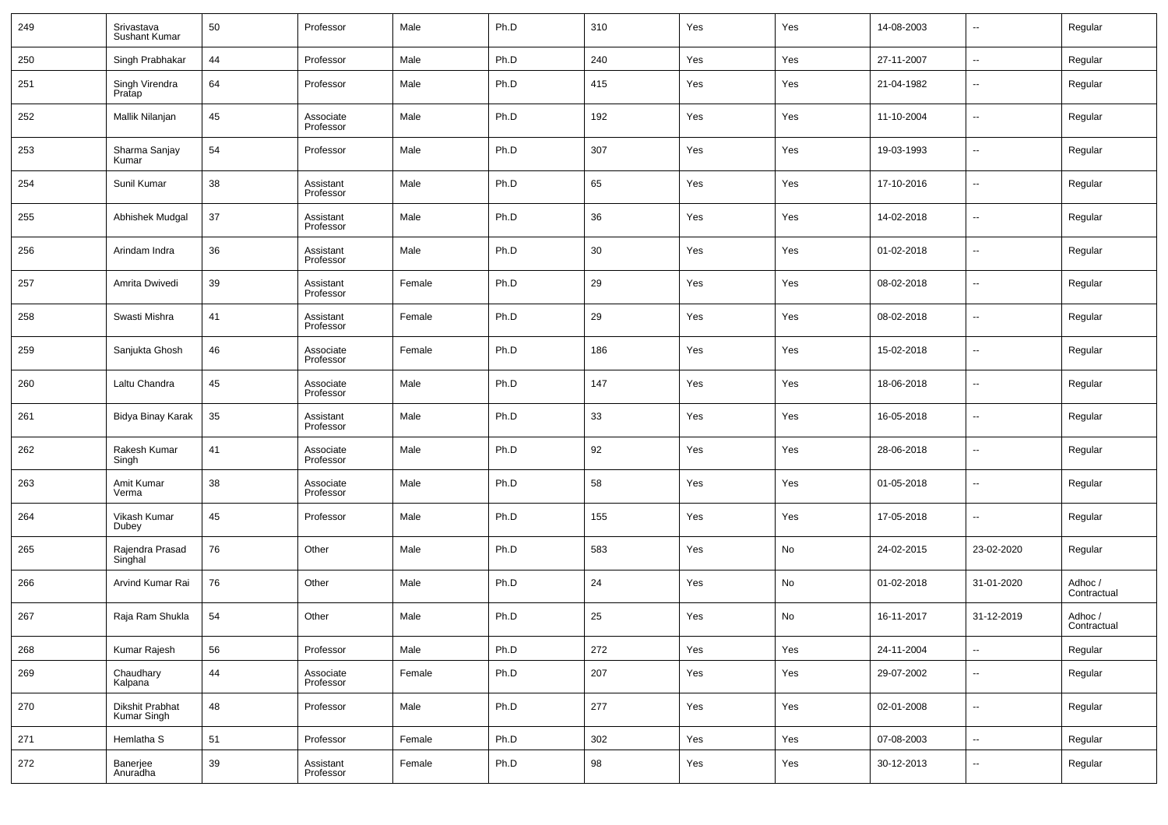| 249 | Srivastava<br>Sushant Kumar    | 50 | Professor              | Male   | Ph.D | 310 | Yes | Yes | 14-08-2003 | $\overline{\phantom{a}}$ | Regular                |
|-----|--------------------------------|----|------------------------|--------|------|-----|-----|-----|------------|--------------------------|------------------------|
| 250 | Singh Prabhakar                | 44 | Professor              | Male   | Ph.D | 240 | Yes | Yes | 27-11-2007 | $\overline{\phantom{a}}$ | Regular                |
| 251 | Singh Virendra<br>Pratap       | 64 | Professor              | Male   | Ph.D | 415 | Yes | Yes | 21-04-1982 | $\overline{\phantom{a}}$ | Regular                |
| 252 | Mallik Nilanjan                | 45 | Associate<br>Professor | Male   | Ph.D | 192 | Yes | Yes | 11-10-2004 | $\overline{\phantom{a}}$ | Regular                |
| 253 | Sharma Sanjay<br>Kumar         | 54 | Professor              | Male   | Ph.D | 307 | Yes | Yes | 19-03-1993 | $\overline{\phantom{a}}$ | Regular                |
| 254 | Sunil Kumar                    | 38 | Assistant<br>Professor | Male   | Ph.D | 65  | Yes | Yes | 17-10-2016 | $\overline{\phantom{a}}$ | Regular                |
| 255 | Abhishek Mudgal                | 37 | Assistant<br>Professor | Male   | Ph.D | 36  | Yes | Yes | 14-02-2018 | $\overline{\phantom{a}}$ | Regular                |
| 256 | Arindam Indra                  | 36 | Assistant<br>Professor | Male   | Ph.D | 30  | Yes | Yes | 01-02-2018 | $\overline{\phantom{a}}$ | Regular                |
| 257 | Amrita Dwivedi                 | 39 | Assistant<br>Professor | Female | Ph.D | 29  | Yes | Yes | 08-02-2018 | $\overline{\phantom{a}}$ | Regular                |
| 258 | Swasti Mishra                  | 41 | Assistant<br>Professor | Female | Ph.D | 29  | Yes | Yes | 08-02-2018 | $\overline{\phantom{a}}$ | Regular                |
| 259 | Sanjukta Ghosh                 | 46 | Associate<br>Professor | Female | Ph.D | 186 | Yes | Yes | 15-02-2018 | $\overline{\phantom{a}}$ | Regular                |
| 260 | Laltu Chandra                  | 45 | Associate<br>Professor | Male   | Ph.D | 147 | Yes | Yes | 18-06-2018 | $\overline{\phantom{a}}$ | Regular                |
| 261 | Bidya Binay Karak              | 35 | Assistant<br>Professor | Male   | Ph.D | 33  | Yes | Yes | 16-05-2018 | $\overline{\phantom{a}}$ | Regular                |
| 262 | Rakesh Kumar<br>Singh          | 41 | Associate<br>Professor | Male   | Ph.D | 92  | Yes | Yes | 28-06-2018 | $\overline{\phantom{a}}$ | Regular                |
| 263 | Amit Kumar<br>Verma            | 38 | Associate<br>Professor | Male   | Ph.D | 58  | Yes | Yes | 01-05-2018 | $\overline{\phantom{a}}$ | Regular                |
| 264 | Vikash Kumar<br>Dubey          | 45 | Professor              | Male   | Ph.D | 155 | Yes | Yes | 17-05-2018 | $\overline{\phantom{a}}$ | Regular                |
| 265 | Rajendra Prasad<br>Singhal     | 76 | Other                  | Male   | Ph.D | 583 | Yes | No  | 24-02-2015 | 23-02-2020               | Regular                |
| 266 | Arvind Kumar Rai               | 76 | Other                  | Male   | Ph.D | 24  | Yes | No  | 01-02-2018 | 31-01-2020               | Adhoc /<br>Contractual |
| 267 | Raja Ram Shukla                | 54 | Other                  | Male   | Ph.D | 25  | Yes | No  | 16-11-2017 | 31-12-2019               | Adhoc /<br>Contractual |
| 268 | Kumar Rajesh                   | 56 | Professor              | Male   | Ph.D | 272 | Yes | Yes | 24-11-2004 | $\overline{\phantom{a}}$ | Regular                |
| 269 | Chaudhary<br>Kalpana           | 44 | Associate<br>Professor | Female | Ph.D | 207 | Yes | Yes | 29-07-2002 | $\overline{\phantom{a}}$ | Regular                |
| 270 | Dikshit Prabhat<br>Kumar Singh | 48 | Professor              | Male   | Ph.D | 277 | Yes | Yes | 02-01-2008 | $\overline{\phantom{a}}$ | Regular                |
| 271 | Hemlatha S                     | 51 | Professor              | Female | Ph.D | 302 | Yes | Yes | 07-08-2003 | $\overline{\phantom{a}}$ | Regular                |
| 272 | Banerjee<br>Anuradha           | 39 | Assistant<br>Professor | Female | Ph.D | 98  | Yes | Yes | 30-12-2013 | $\overline{\phantom{a}}$ | Regular                |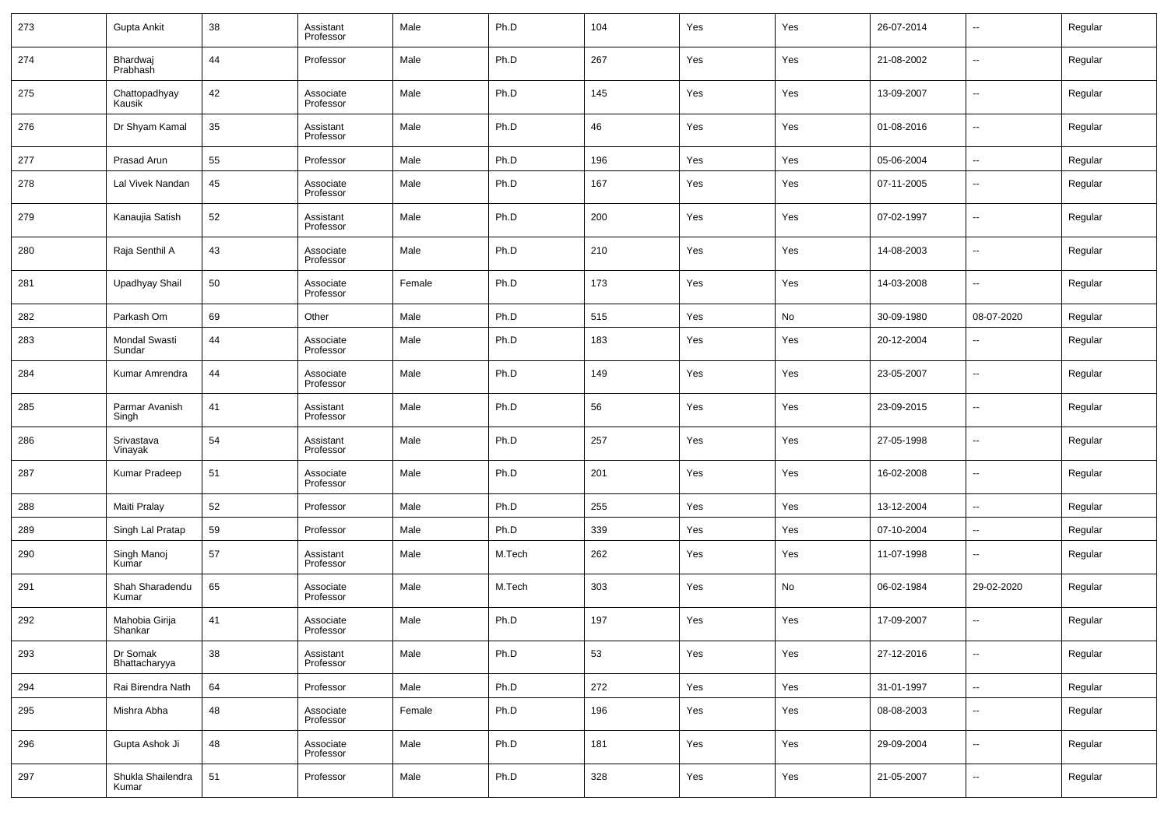| 273 | Gupta Ankit                    | 38 | Assistant<br>Professor | Male   | Ph.D   | 104 | Yes | Yes | 26-07-2014 | --                       | Regular |
|-----|--------------------------------|----|------------------------|--------|--------|-----|-----|-----|------------|--------------------------|---------|
| 274 | Bhardwaj<br>Prabhash           | 44 | Professor              | Male   | Ph.D   | 267 | Yes | Yes | 21-08-2002 | $\overline{\phantom{a}}$ | Regular |
| 275 | Chattopadhyay<br>Kausik        | 42 | Associate<br>Professor | Male   | Ph.D   | 145 | Yes | Yes | 13-09-2007 | $\overline{\phantom{a}}$ | Regular |
| 276 | Dr Shyam Kamal                 | 35 | Assistant<br>Professor | Male   | Ph.D   | 46  | Yes | Yes | 01-08-2016 | --                       | Regular |
| 277 | Prasad Arun                    | 55 | Professor              | Male   | Ph.D   | 196 | Yes | Yes | 05-06-2004 | $\overline{\phantom{a}}$ | Regular |
| 278 | Lal Vivek Nandan               | 45 | Associate<br>Professor | Male   | Ph.D   | 167 | Yes | Yes | 07-11-2005 | $\overline{\phantom{a}}$ | Regular |
| 279 | Kanaujia Satish                | 52 | Assistant<br>Professor | Male   | Ph.D   | 200 | Yes | Yes | 07-02-1997 | $\overline{\phantom{a}}$ | Regular |
| 280 | Raja Senthil A                 | 43 | Associate<br>Professor | Male   | Ph.D   | 210 | Yes | Yes | 14-08-2003 | --                       | Regular |
| 281 | Upadhyay Shail                 | 50 | Associate<br>Professor | Female | Ph.D   | 173 | Yes | Yes | 14-03-2008 | $\overline{\phantom{a}}$ | Regular |
| 282 | Parkash Om                     | 69 | Other                  | Male   | Ph.D   | 515 | Yes | No  | 30-09-1980 | 08-07-2020               | Regular |
| 283 | <b>Mondal Swasti</b><br>Sundar | 44 | Associate<br>Professor | Male   | Ph.D   | 183 | Yes | Yes | 20-12-2004 | $\overline{\phantom{a}}$ | Regular |
| 284 | Kumar Amrendra                 | 44 | Associate<br>Professor | Male   | Ph.D   | 149 | Yes | Yes | 23-05-2007 | --                       | Regular |
| 285 | Parmar Avanish<br>Singh        | 41 | Assistant<br>Professor | Male   | Ph.D   | 56  | Yes | Yes | 23-09-2015 | $\sim$                   | Regular |
| 286 | Srivastava<br>Vinayak          | 54 | Assistant<br>Professor | Male   | Ph.D   | 257 | Yes | Yes | 27-05-1998 | $\overline{\phantom{a}}$ | Regular |
| 287 | Kumar Pradeep                  | 51 | Associate<br>Professor | Male   | Ph.D   | 201 | Yes | Yes | 16-02-2008 | $\overline{\phantom{a}}$ | Regular |
| 288 | Maiti Pralay                   | 52 | Professor              | Male   | Ph.D   | 255 | Yes | Yes | 13-12-2004 | $\overline{\phantom{a}}$ | Regular |
| 289 | Singh Lal Pratap               | 59 | Professor              | Male   | Ph.D   | 339 | Yes | Yes | 07-10-2004 | --                       | Regular |
| 290 | Singh Manoj<br>Kumar           | 57 | Assistant<br>Professor | Male   | M.Tech | 262 | Yes | Yes | 11-07-1998 | $\overline{\phantom{a}}$ | Regular |
| 291 | Shah Sharadendu<br>Kumar       | 65 | Associate<br>Professor | Male   | M.Tech | 303 | Yes | No  | 06-02-1984 | 29-02-2020               | Regular |
| 292 | Mahobia Girija<br>Shankar      | 41 | Associate<br>Professor | Male   | Ph.D   | 197 | Yes | Yes | 17-09-2007 | $\overline{\phantom{a}}$ | Regular |
| 293 | Dr Somak<br>Bhattacharyya      | 38 | Assistant<br>Professor | Male   | Ph.D   | 53  | Yes | Yes | 27-12-2016 | $\overline{\phantom{a}}$ | Regular |
| 294 | Rai Birendra Nath              | 64 | Professor              | Male   | Ph.D   | 272 | Yes | Yes | 31-01-1997 | $\overline{\phantom{a}}$ | Regular |
| 295 | Mishra Abha                    | 48 | Associate<br>Professor | Female | Ph.D   | 196 | Yes | Yes | 08-08-2003 | ۰.                       | Regular |
| 296 | Gupta Ashok Ji                 | 48 | Associate<br>Professor | Male   | Ph.D   | 181 | Yes | Yes | 29-09-2004 | $\overline{\phantom{a}}$ | Regular |
| 297 | Shukla Shailendra<br>Kumar     | 51 | Professor              | Male   | Ph.D   | 328 | Yes | Yes | 21-05-2007 | $\overline{\phantom{a}}$ | Regular |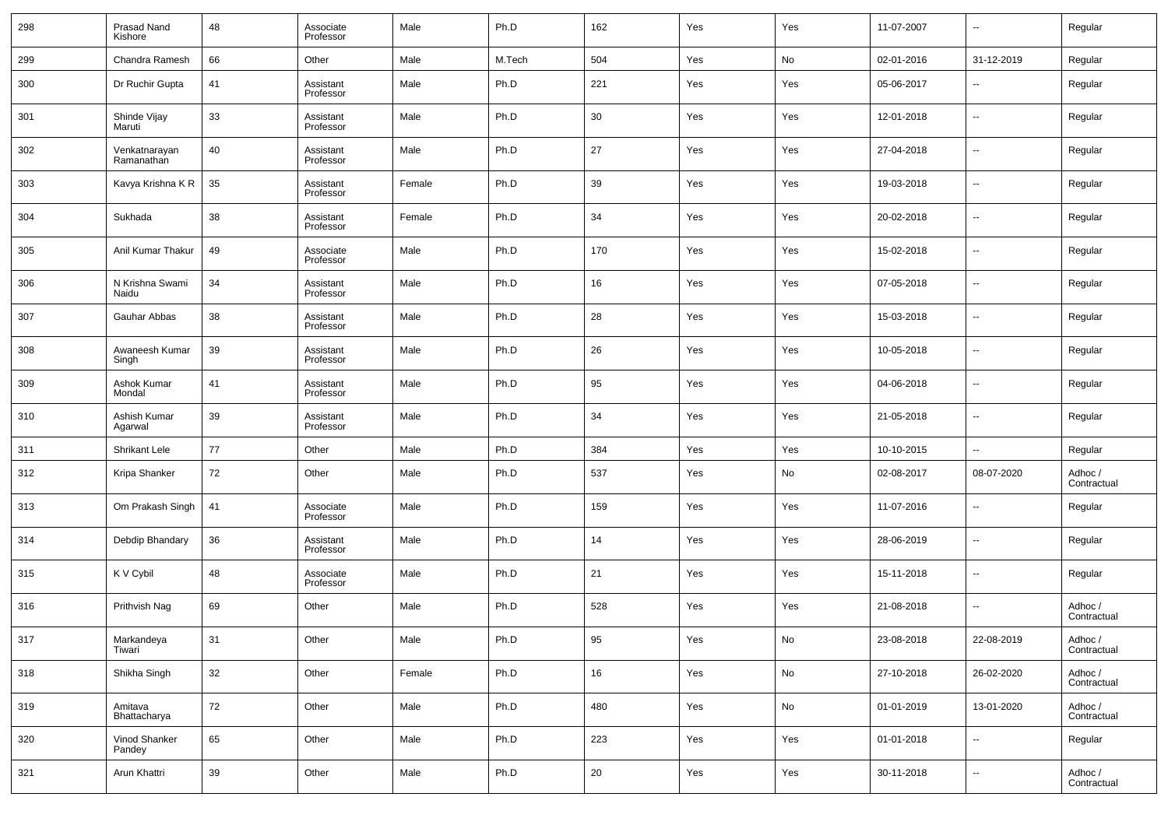| 298 | Prasad Nand<br>Kishore      | 48 | Associate<br>Professor | Male   | Ph.D   | 162 | Yes | Yes | 11-07-2007 | $\overline{\phantom{a}}$     | Regular                |
|-----|-----------------------------|----|------------------------|--------|--------|-----|-----|-----|------------|------------------------------|------------------------|
| 299 | Chandra Ramesh              | 66 | Other                  | Male   | M.Tech | 504 | Yes | No  | 02-01-2016 | 31-12-2019                   | Regular                |
| 300 | Dr Ruchir Gupta             | 41 | Assistant<br>Professor | Male   | Ph.D   | 221 | Yes | Yes | 05-06-2017 | $\overline{\phantom{a}}$     | Regular                |
| 301 | Shinde Vijay<br>Maruti      | 33 | Assistant<br>Professor | Male   | Ph.D   | 30  | Yes | Yes | 12-01-2018 | $\overline{\phantom{a}}$     | Regular                |
| 302 | Venkatnarayan<br>Ramanathan | 40 | Assistant<br>Professor | Male   | Ph.D   | 27  | Yes | Yes | 27-04-2018 | $\overline{\phantom{a}}$     | Regular                |
| 303 | Kavya Krishna K R           | 35 | Assistant<br>Professor | Female | Ph.D   | 39  | Yes | Yes | 19-03-2018 | $\overline{\phantom{a}}$     | Regular                |
| 304 | Sukhada                     | 38 | Assistant<br>Professor | Female | Ph.D   | 34  | Yes | Yes | 20-02-2018 | $\overline{\phantom{a}}$     | Regular                |
| 305 | Anil Kumar Thakur           | 49 | Associate<br>Professor | Male   | Ph.D   | 170 | Yes | Yes | 15-02-2018 | $\overline{\phantom{a}}$     | Regular                |
| 306 | N Krishna Swami<br>Naidu    | 34 | Assistant<br>Professor | Male   | Ph.D   | 16  | Yes | Yes | 07-05-2018 | $\overline{\phantom{a}}$     | Regular                |
| 307 | Gauhar Abbas                | 38 | Assistant<br>Professor | Male   | Ph.D   | 28  | Yes | Yes | 15-03-2018 | $\overline{\phantom{a}}$     | Regular                |
| 308 | Awaneesh Kumar<br>Singh     | 39 | Assistant<br>Professor | Male   | Ph.D   | 26  | Yes | Yes | 10-05-2018 | $\overline{\phantom{a}}$     | Regular                |
| 309 | Ashok Kumar<br>Mondal       | 41 | Assistant<br>Professor | Male   | Ph.D   | 95  | Yes | Yes | 04-06-2018 | $\overline{\phantom{a}}$     | Regular                |
| 310 | Ashish Kumar<br>Agarwal     | 39 | Assistant<br>Professor | Male   | Ph.D   | 34  | Yes | Yes | 21-05-2018 | $\overline{\phantom{a}}$     | Regular                |
| 311 | Shrikant Lele               | 77 | Other                  | Male   | Ph.D   | 384 | Yes | Yes | 10-10-2015 | $\overline{\phantom{a}}$     | Regular                |
| 312 | Kripa Shanker               | 72 | Other                  | Male   | Ph.D   | 537 | Yes | No  | 02-08-2017 | 08-07-2020                   | Adhoc /<br>Contractual |
| 313 | Om Prakash Singh            | 41 | Associate<br>Professor | Male   | Ph.D   | 159 | Yes | Yes | 11-07-2016 | $\overline{\phantom{a}}$     | Regular                |
| 314 | Debdip Bhandary             | 36 | Assistant<br>Professor | Male   | Ph.D   | 14  | Yes | Yes | 28-06-2019 | $\overline{\phantom{a}}$     | Regular                |
| 315 | K V Cybil                   | 48 | Associate<br>Professor | Male   | Ph.D   | 21  | Yes | Yes | 15-11-2018 | $\overline{\phantom{a}}$     | Regular                |
| 316 | Prithvish Nag               | 69 | Other                  | Male   | Ph.D   | 528 | Yes | Yes | 21-08-2018 | $\overline{\phantom{a}}$     | Adhoc /<br>Contractual |
| 317 | Markandeya<br>Tiwari        | 31 | Other                  | Male   | Ph.D   | 95  | Yes | No  | 23-08-2018 | 22-08-2019                   | Adhoc /<br>Contractual |
| 318 | Shikha Singh                | 32 | Other                  | Female | Ph.D   | 16  | Yes | No  | 27-10-2018 | 26-02-2020                   | Adhoc /<br>Contractual |
| 319 | Amitava<br>Bhattacharya     | 72 | Other                  | Male   | Ph.D   | 480 | Yes | No  | 01-01-2019 | 13-01-2020                   | Adhoc /<br>Contractual |
| 320 | Vinod Shanker<br>Pandey     | 65 | Other                  | Male   | Ph.D   | 223 | Yes | Yes | 01-01-2018 | $\overline{\phantom{a}}$     | Regular                |
| 321 | Arun Khattri                | 39 | Other                  | Male   | Ph.D   | 20  | Yes | Yes | 30-11-2018 | $\qquad \qquad \blacksquare$ | Adhoc /<br>Contractual |